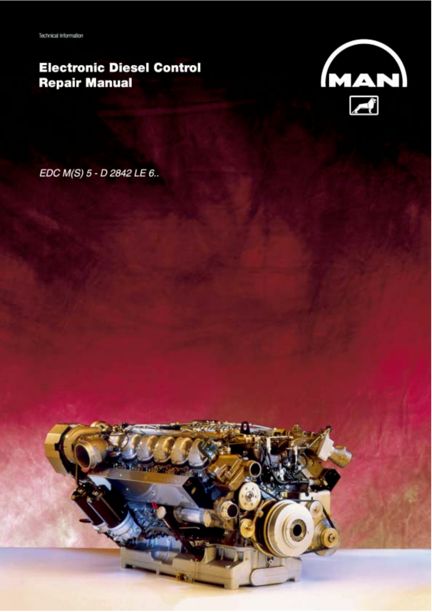# **Electronic Diesel Control Repair Manual**



EDC M(S) 5 - D 2842 LE 6..

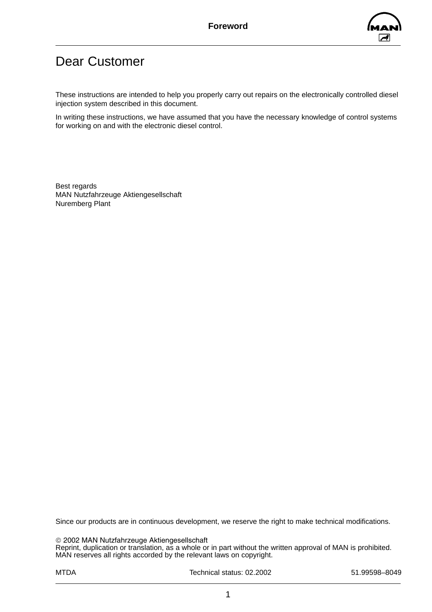

# Dear Customer

These instructions are intended to help you properly carry out repairs on the electronically controlled diesel injection system described in this document.

In writing these instructions, we have assumed that you have the necessary knowledge of control systems for working on and with the electronic diesel control.

Best regards MAN Nutzfahrzeuge Aktiengesellschaft Nuremberg Plant

Since our products are in continuous development, we reserve the right to make technical modifications.

2002 MAN Nutzfahrzeuge Aktiengesellschaft

Reprint, duplication or translation, as a whole or in part without the written approval of MAN is prohibited. MAN reserves all rights accorded by the relevant laws on copyright.

MTDA **Technical status: 02.2002** 51.99598–8049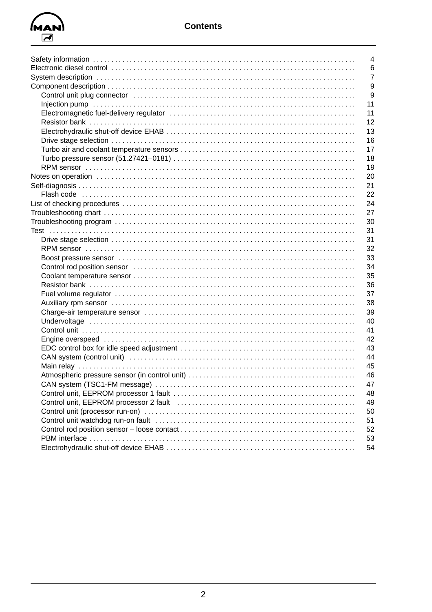

|                                                                                                                                                                                                                                | 4              |
|--------------------------------------------------------------------------------------------------------------------------------------------------------------------------------------------------------------------------------|----------------|
|                                                                                                                                                                                                                                | 6              |
|                                                                                                                                                                                                                                | $\overline{7}$ |
|                                                                                                                                                                                                                                | 9              |
|                                                                                                                                                                                                                                | 9              |
|                                                                                                                                                                                                                                | 11             |
|                                                                                                                                                                                                                                | 11             |
|                                                                                                                                                                                                                                | 12             |
|                                                                                                                                                                                                                                | 13             |
|                                                                                                                                                                                                                                | 16             |
|                                                                                                                                                                                                                                | 17             |
|                                                                                                                                                                                                                                | 18             |
|                                                                                                                                                                                                                                | 19             |
|                                                                                                                                                                                                                                | 20             |
|                                                                                                                                                                                                                                | 21             |
|                                                                                                                                                                                                                                | 22             |
|                                                                                                                                                                                                                                | 24             |
|                                                                                                                                                                                                                                | 27             |
|                                                                                                                                                                                                                                | 30             |
|                                                                                                                                                                                                                                | 31             |
|                                                                                                                                                                                                                                | 31             |
|                                                                                                                                                                                                                                | 32             |
|                                                                                                                                                                                                                                | 33             |
| Control rod position sensor (and accommunication of the control of the control response of the control of the control of the control of the control of the control of the control of the control of the control of the control | 34             |
|                                                                                                                                                                                                                                | 35             |
|                                                                                                                                                                                                                                | 36             |
|                                                                                                                                                                                                                                | 37             |
|                                                                                                                                                                                                                                | 38             |
|                                                                                                                                                                                                                                | 39             |
|                                                                                                                                                                                                                                | 40             |
|                                                                                                                                                                                                                                | 41             |
|                                                                                                                                                                                                                                | 42             |
|                                                                                                                                                                                                                                | 43             |
|                                                                                                                                                                                                                                | 44             |
|                                                                                                                                                                                                                                | 45             |
|                                                                                                                                                                                                                                | 46             |
|                                                                                                                                                                                                                                | 47             |
|                                                                                                                                                                                                                                | 48             |
|                                                                                                                                                                                                                                | 49             |
|                                                                                                                                                                                                                                | 50             |
|                                                                                                                                                                                                                                | 51             |
|                                                                                                                                                                                                                                | 52             |
|                                                                                                                                                                                                                                | 53             |
|                                                                                                                                                                                                                                | 54             |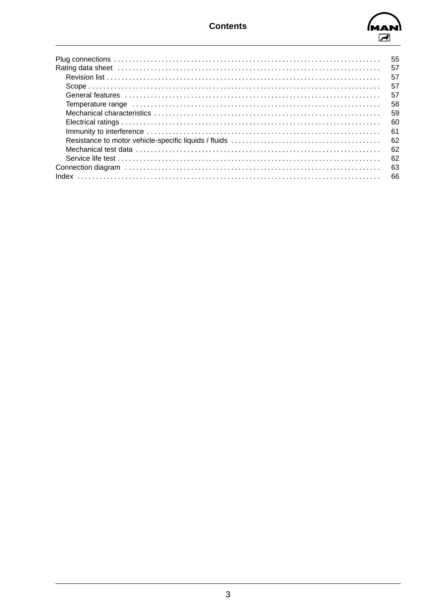

| - 55 |
|------|
| 57   |
| 57   |
| 57   |
| 57   |
| 58   |
| -59  |
| 60   |
| 61   |
| 62   |
| 62   |
| 62   |
| - 63 |
| -66  |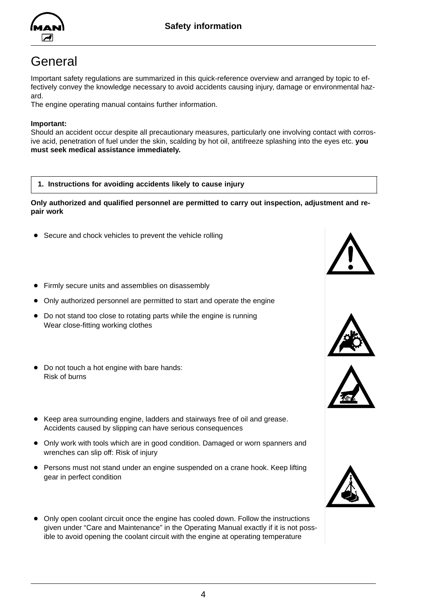<span id="page-5-0"></span>

# **General**

Important safety regulations are summarized in this quick-reference overview and arranged by topic to effectively convey the knowledge necessary to avoid accidents causing injury, damage or environmental hazard.

The engine operating manual contains further information.

#### **Important:**

Should an accident occur despite all precautionary measures, particularly one involving contact with corrosive acid, penetration of fuel under the skin, scalding by hot oil, antifreeze splashing into the eyes etc. **you must seek medical assistance immediately.**

#### **1. Instructions for avoiding accidents likely to cause injury**

**Only authorized and qualified personnel are permitted to carry out inspection, adjustment and repair work** 

- Secure and chock vehicles to prevent the vehicle rolling
- Firmly secure units and assemblies on disassembly
- Only authorized personnel are permitted to start and operate the engine
- Do not stand too close to rotating parts while the engine is running Wear close-fitting working clothes
- Do not touch a hot engine with bare hands: Risk of burns
- Keep area surrounding engine, ladders and stairways free of oil and grease. Accidents caused by slipping can have serious consequences
- Only work with tools which are in good condition. Damaged or worn spanners and wrenches can slip off: Risk of injury
- Persons must not stand under an engine suspended on a crane hook. Keep lifting gear in perfect condition
- Only open coolant circuit once the engine has cooled down. Follow the instructions given under "Care and Maintenance" in the Operating Manual exactly if it is not possible to avoid opening the coolant circuit with the engine at operating temperature







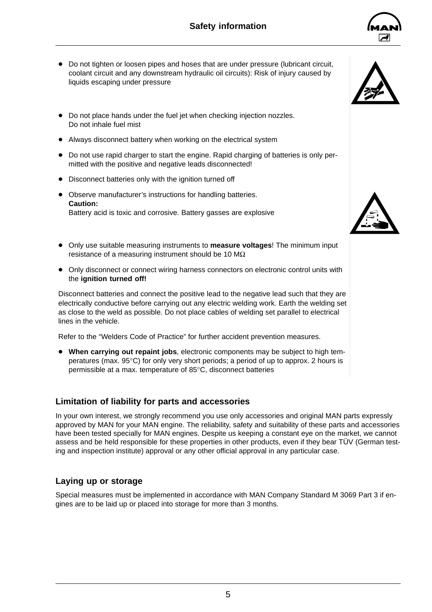

- <span id="page-6-0"></span> $\bullet$  Do not tighten or loosen pipes and hoses that are under pressure (lubricant circuit, coolant circuit and any downstream hydraulic oil circuits): Risk of injury caused by liquids escaping under pressure
- Do not place hands under the fuel jet when checking injection nozzles. Do not inhale fuel mist
- Always disconnect battery when working on the electrical system
- $\bullet$  Do not use rapid charger to start the engine. Rapid charging of batteries is only permitted with the positive and negative leads disconnected!
- Disconnect batteries only with the ignition turned off
- Observe manufacturer's instructions for handling batteries. **Caution:** Battery acid is toxic and corrosive. Battery gasses are explosive
- Only use suitable measuring instruments to **measure voltages**! The minimum input resistance of a measuring instrument should be 10  $\text{M}\Omega$
- Only disconnect or connect wiring harness connectors on electronic control units with the **ignition turned off!**

Disconnect batteries and connect the positive lead to the negative lead such that they are electrically conductive before carrying out any electric welding work. Earth the welding set as close to the weld as possible. Do not place cables of welding set parallel to electrical lines in the vehicle.

Refer to the "Welders Code of Practice" for further accident prevention measures.

**• When carrying out repaint jobs**, electronic components may be subject to high temperatures (max. 95°C) for only very short periods; a period of up to approx. 2 hours is permissible at a max. temperature of 85°C, disconnect batteries

### **Limitation of liability for parts and accessories**

In your own interest, we strongly recommend you use only accessories and original MAN parts expressly approved by MAN for your MAN engine. The reliability, safety and suitability of these parts and accessories have been tested specially for MAN engines. Despite us keeping a constant eye on the market, we cannot assess and be held responsible for these properties in other products, even if they bear TÜV (German testing and inspection institute) approval or any other official approval in any particular case.

### **Laying up or storage**

Special measures must be implemented in accordance with MAN Company Standard M 3069 Part 3 if engines are to be laid up or placed into storage for more than 3 months.

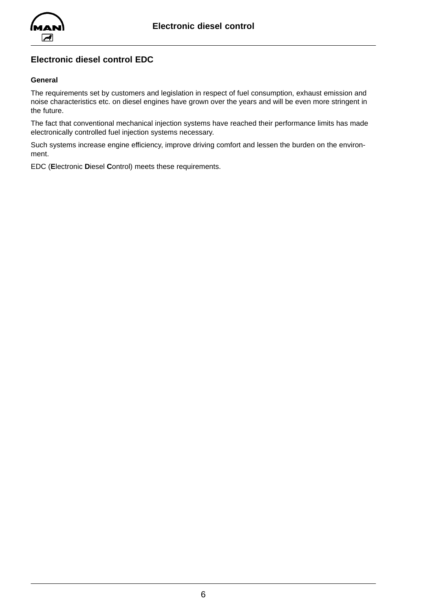<span id="page-7-0"></span>

## **Electronic diesel control EDC**

#### **General**

The requirements set by customers and legislation in respect of fuel consumption, exhaust emission and noise characteristics etc. on diesel engines have grown over the years and will be even more stringent in the future.

The fact that conventional mechanical injection systems have reached their performance limits has made electronically controlled fuel injection systems necessary.

Such systems increase engine efficiency, improve driving comfort and lessen the burden on the environment.

EDC (**E**lectronic **D**iesel **C**ontrol) meets these requirements.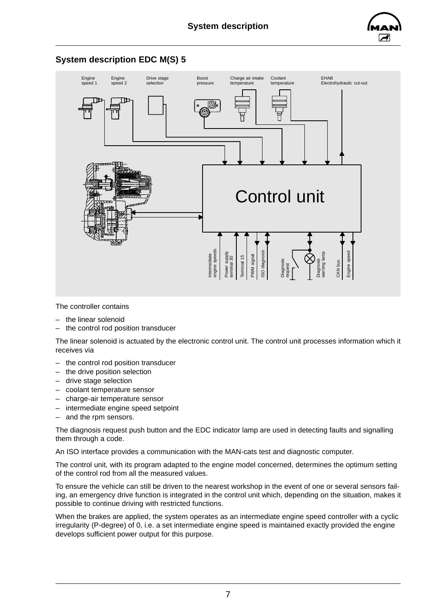

#### Drive stage Boost Coolant EHAB Engine speed 1 Engine speed 2 Charge air intake temperature pressure temperature Electrohydraulic cut-out selection Control unit engine speeds ingine speeds **SO** diagnosis Diagnosis ngine speed Power supply<br>terminal 30 ISO diagnosis Engine speed Power supply warning lamp PWM signal Intermediate ntermediate erminal 15 PWM signal Terminal 15 terminal 30 CAN bus Diagnosis request

The controller contains

- the linear solenoid
- the control rod position transducer

<span id="page-8-0"></span>**System description EDC M(S) 5**

The linear solenoid is actuated by the electronic control unit. The control unit processes information which it receives via

- the control rod position transducer
- the drive position selection
- drive stage selection
- coolant temperature sensor
- charge-air temperature sensor
- intermediate engine speed setpoint
- and the rpm sensors.

The diagnosis request push button and the EDC indicator lamp are used in detecting faults and signalling them through a code.

An ISO interface provides a communication with the MAN-cats test and diagnostic computer.

The control unit, with its program adapted to the engine model concerned, determines the optimum setting of the control rod from all the measured values.

To ensure the vehicle can still be driven to the nearest workshop in the event of one or several sensors failing, an emergency drive function is integrated in the control unit which, depending on the situation, makes it possible to continue driving with restricted functions.

When the brakes are applied, the system operates as an intermediate engine speed controller with a cyclic irregularity (P-degree) of 0, i.e. a set intermediate engine speed is maintained exactly provided the engine develops sufficient power output for this purpose.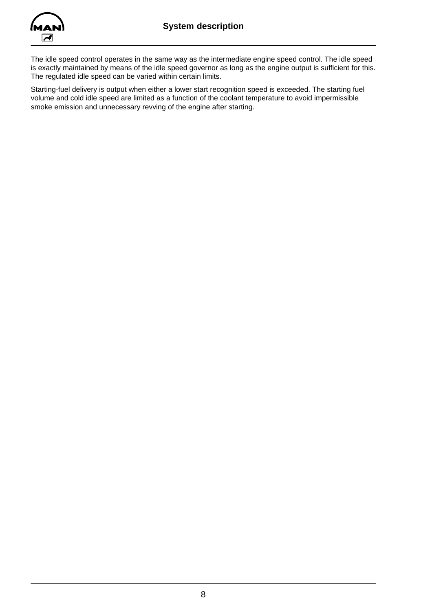

The idle speed control operates in the same way as the intermediate engine speed control. The idle speed is exactly maintained by means of the idle speed governor as long as the engine output is sufficient for this. The regulated idle speed can be varied within certain limits.

Starting-fuel delivery is output when either a lower start recognition speed is exceeded. The starting fuel volume and cold idle speed are limited as a function of the coolant temperature to avoid impermissible smoke emission and unnecessary revving of the engine after starting.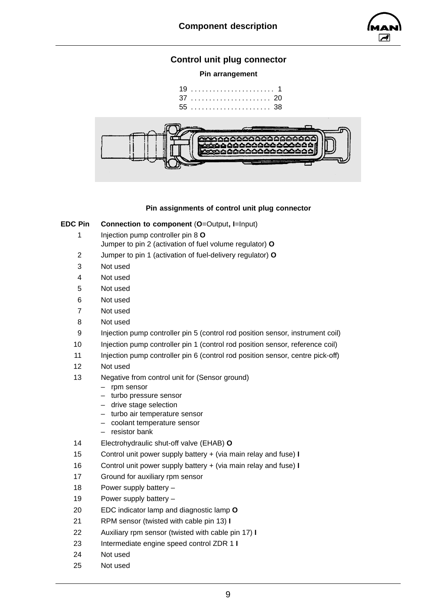

## **Control unit plug connector**

#### **Pin arrangement**

<span id="page-10-0"></span>

#### **Pin assignments of control unit plug connector**

#### **EDC Pin Connection to component** (**O**=Output**, I**=Input)

- 1 Injection pump controller pin 8 **O** Jumper to pin 2 (activation of fuel volume regulator) **O**
- 2 Jumper to pin 1 (activation of fuel-delivery regulator) **O**
- 3 Not used
- 4 Not used
- 5 Not used
- 6 Not used
- 7 Not used
- 8 Not used
- 9 Injection pump controller pin 5 (control rod position sensor, instrument coil)
- 10 Injection pump controller pin 1 (control rod position sensor, reference coil)
- 11 Injection pump controller pin 6 (control rod position sensor, centre pick-off)
- 12 Not used
- 13 Negative from control unit for (Sensor ground)
	- rpm sensor
	- turbo pressure sensor
	- drive stage selection
	- turbo air temperature sensor
	- coolant temperature sensor
	- resistor bank
- 14 Electrohydraulic shut-off valve (EHAB) **O**
- 15 Control unit power supply battery + (via main relay and fuse) **I**
- 16 Control unit power supply battery + (via main relay and fuse) **I**
- 17 Ground for auxiliary rpm sensor
- 18 Power supply battery –
- 19 Power supply battery –
- 20 EDC indicator lamp and diagnostic lamp **O**
- 21 RPM sensor (twisted with cable pin 13) **I**
- 22 Auxiliary rpm sensor (twisted with cable pin 17) **I**
- 23 Intermediate engine speed control ZDR 1 **I**
- 24 Not used
- 25 Not used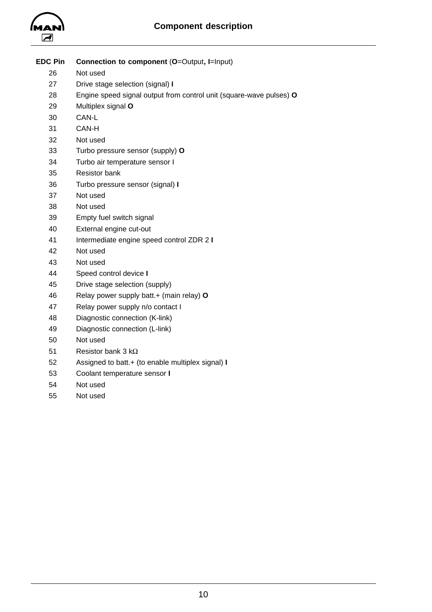

| <b>EDC Pin</b> | Connection to component (O=Output, I=Input)                         |
|----------------|---------------------------------------------------------------------|
| 26             | Not used                                                            |
| 27             | Drive stage selection (signal) I                                    |
| 28             | Engine speed signal output from control unit (square-wave pulses) O |
| 29             | Multiplex signal O                                                  |
| 30             | CAN-L                                                               |
| 31             | CAN-H                                                               |
| 32             | Not used                                                            |
| 33             | Turbo pressure sensor (supply) O                                    |
| 34             | Turbo air temperature sensor I                                      |
| 35             | <b>Resistor bank</b>                                                |
| 36             | Turbo pressure sensor (signal) I                                    |
| 37             | Not used                                                            |
| 38             | Not used                                                            |
| 39             | Empty fuel switch signal                                            |
| 40             | External engine cut-out                                             |
| 41             | Intermediate engine speed control ZDR 2 I                           |
| 42             | Not used                                                            |
| 43             | Not used                                                            |
| 44             | Speed control device I                                              |
| 45             | Drive stage selection (supply)                                      |
| 46             | Relay power supply batt.+ (main relay) O                            |
| 47             | Relay power supply n/o contact I                                    |
| 48             | Diagnostic connection (K-link)                                      |
| 49             | Diagnostic connection (L-link)                                      |
| 50             | Not used                                                            |
| 51             | Resistor bank 3 k $\Omega$                                          |
| 52             | Assigned to batt.+ (to enable multiplex signal) I                   |
| 53             | Coolant temperature sensor I                                        |
| 54             | Not used                                                            |
| 55             | Not used                                                            |
|                |                                                                     |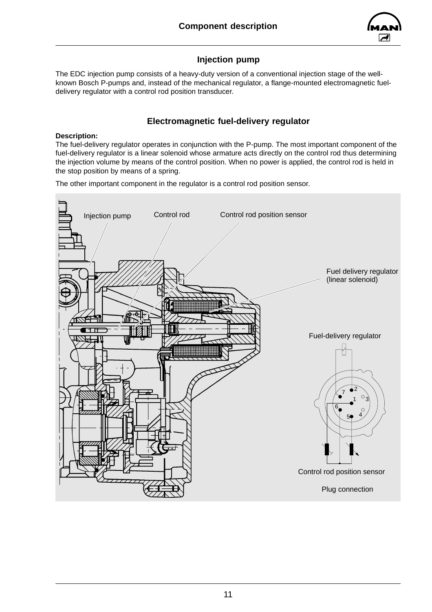

## **Injection pump**

<span id="page-12-0"></span>The EDC injection pump consists of a heavy-duty version of a conventional injection stage of the wellknown Bosch P-pumps and, instead of the mechanical regulator, a flange-mounted electromagnetic fueldelivery regulator with a control rod position transducer.

## **Electromagnetic fuel-delivery regulator**

#### **Description:**

The fuel-delivery regulator operates in conjunction with the P-pump. The most important component of the fuel-delivery regulator is a linear solenoid whose armature acts directly on the control rod thus determining the injection volume by means of the control position. When no power is applied, the control rod is held in the stop position by means of a spring.

The other important component in the regulator is a control rod position sensor.

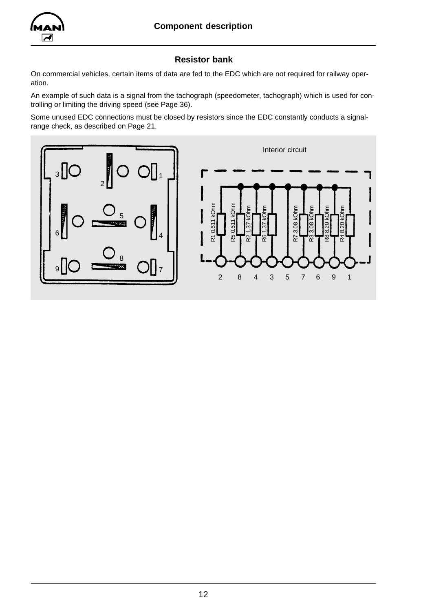<span id="page-13-0"></span>

## **Resistor bank**

On commercial vehicles, certain items of data are fed to the EDC which are not required for railway operation.

An example of such data is a signal from the tachograph (speedometer, tachograph) which is used for controlling or limiting the driving speed (see Pag[e 36\).](#page-37-0)

Some unused EDC connections must be closed by resistors since the EDC constantly conducts a signalrange check, as described on Pag[e 21.](#page-22-0)



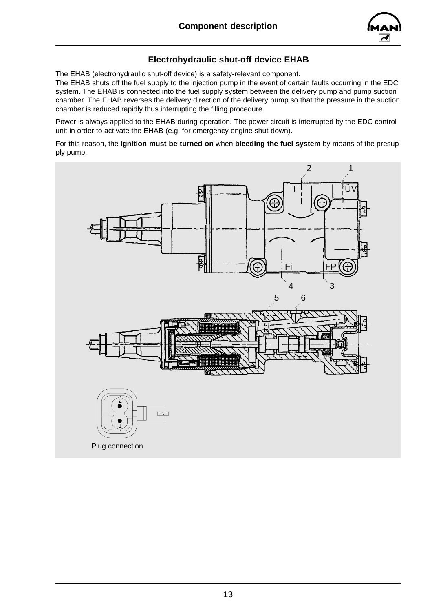

## **Electrohydraulic shut-off device EHAB**

<span id="page-14-0"></span>The EHAB (electrohydraulic shut-off device) is a safety-relevant component.

The EHAB shuts off the fuel supply to the injection pump in the event of certain faults occurring in the EDC system. The EHAB is connected into the fuel supply system between the delivery pump and pump suction chamber. The EHAB reverses the delivery direction of the delivery pump so that the pressure in the suction chamber is reduced rapidly thus interrupting the filling procedure.

Power is always applied to the EHAB during operation. The power circuit is interrupted by the EDC control unit in order to activate the EHAB (e.g. for emergency engine shut-down).

For this reason, the **ignition must be turned on** when **bleeding the fuel system** by means of the presupply pump.

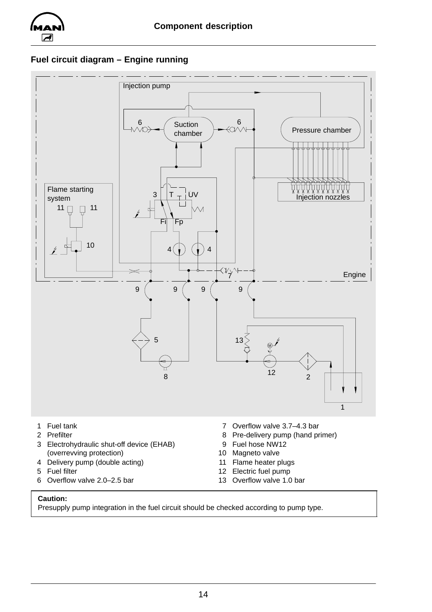

## **Fuel circuit diagram – Engine running**



- 
- 
- 3 Electrohydraulic shut-off device (EHAB) (overrevving protection) 10 Magneto valve
- 4 Delivery pump (double acting) 11 Flame heater plugs
- 
- 6 Overflow valve 2.0–2.5 bar 13 Overflow valve 1.0 bar
- 
- 2 Prefilter 8 Pre-delivery pump (hand primer)<br>3 Electrohydraulic shut-off device (EHAB) 9 Fuel hose NW12
	-
	-
	-
- 5 Fuel filter 12 Electric fuel pump
	-

#### **Caution:**

Presupply pump integration in the fuel circuit should be checked according to pump type.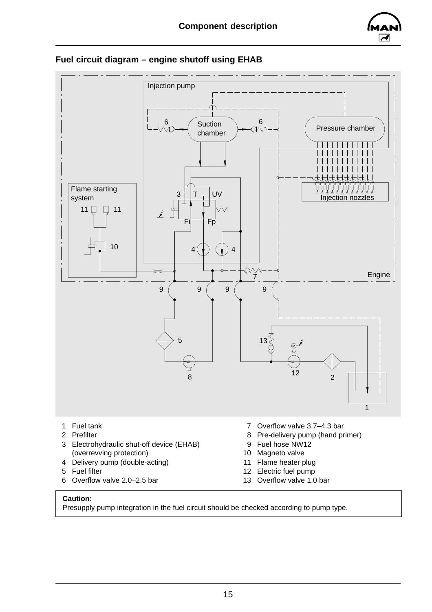



### **Fuel circuit diagram – engine shutoff using EHAB**

- 
- 
- 3 Electrohydraulic shut-off device (EHAB) (overrevving protection) 10 Magneto valve
- 4 Delivery pump (double-acting) 11 Flame heater plug
- 
- 6 Overflow valve 2.0–2.5 bar 13 Overflow valve 1.0 bar
- 
- 2 Prefilter<br>3 Electrohydraulic shut-off device (EHAB) 8 Pre-delivery pump (hand primer)<br>9 Fuel hose NW12
	-
	-
	-
- 5 Fuel filter 12 Electric fuel pump
	-

#### **Caution:**

Presupply pump integration in the fuel circuit should be checked according to pump type.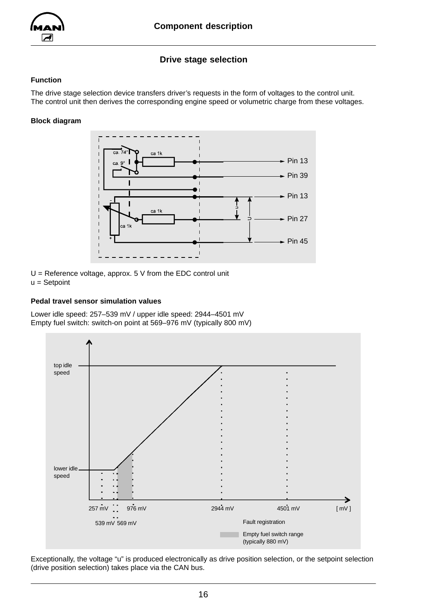<span id="page-17-0"></span>

## **Drive stage selection**

#### **Function**

The drive stage selection device transfers driver's requests in the form of voltages to the control unit. The control unit then derives the corresponding engine speed or volumetric charge from these voltages.

#### **Block diagram**



U = Reference voltage, approx. 5 V from the EDC control unit u = Setpoint

#### **Pedal travel sensor simulation values**

Lower idle speed: 257–539 mV / upper idle speed: 2944–4501 mV Empty fuel switch: switch-on point at 569–976 mV (typically 800 mV)



Exceptionally, the voltage "u" is produced electronically as drive position selection, or the setpoint selection (drive position selection) takes place via the CAN bus.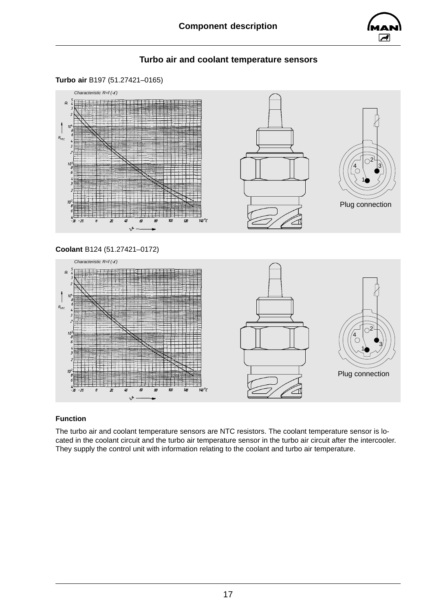

## **Turbo air and coolant temperature sensors**

<span id="page-18-0"></span>



### **Function**

The turbo air and coolant temperature sensors are NTC resistors. The coolant temperature sensor is located in the coolant circuit and the turbo air temperature sensor in the turbo air circuit after the intercooler. They supply the control unit with information relating to the coolant and turbo air temperature.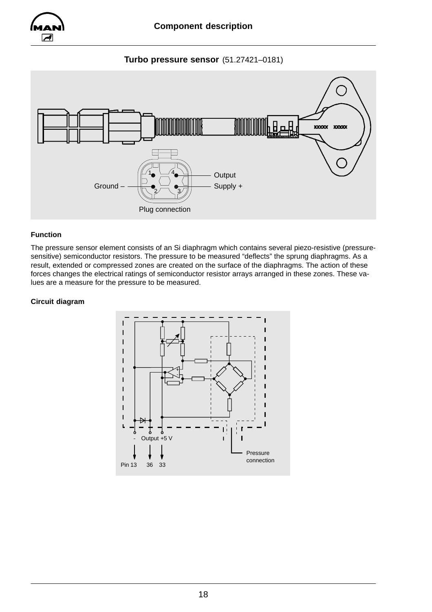<span id="page-19-0"></span>

#### **Turbo pressure sensor** (51.27421–0181)



#### **Function**

The pressure sensor element consists of an Si diaphragm which contains several piezo-resistive (pressuresensitive) semiconductor resistors. The pressure to be measured "deflects" the sprung diaphragms. As a result, extended or compressed zones are created on the surface of the diaphragms. The action of these forces changes the electrical ratings of semiconductor resistor arrays arranged in these zones. These values are a measure for the pressure to be measured.

#### **Circuit diagram**

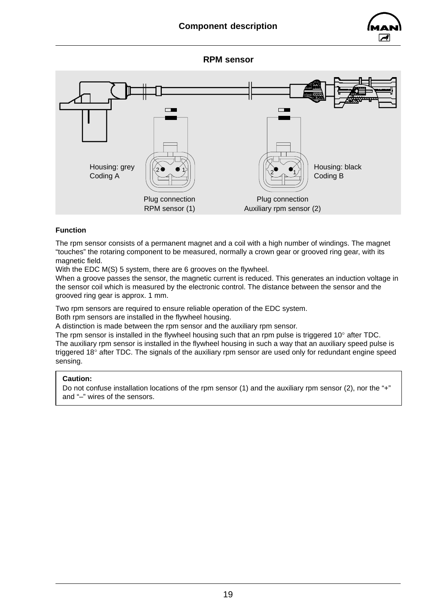

### **RPM sensor**

<span id="page-20-0"></span>

#### **Function**

The rpm sensor consists of a permanent magnet and a coil with a high number of windings. The magnet "touches" the rotaring component to be measured, normally a crown gear or grooved ring gear, with its magnetic field.

With the EDC M(S) 5 system, there are 6 grooves on the flywheel.

When a groove passes the sensor, the magnetic current is reduced. This generates an induction voltage in the sensor coil which is measured by the electronic control. The distance between the sensor and the grooved ring gear is approx. 1 mm.

Two rpm sensors are required to ensure reliable operation of the EDC system.

Both rpm sensors are installed in the flywheel housing.

A distinction is made between the rpm sensor and the auxiliary rpm sensor.

The rpm sensor is installed in the flywheel housing such that an rpm pulse is triggered 10° after TDC. The auxiliary rpm sensor is installed in the flywheel housing in such a way that an auxiliary speed pulse is triggered 18° after TDC. The signals of the auxiliary rpm sensor are used only for redundant engine speed sensing.

#### **Caution:**

Do not confuse installation locations of the rpm sensor (1) and the auxiliary rpm sensor (2), nor the "+" and "–" wires of the sensors.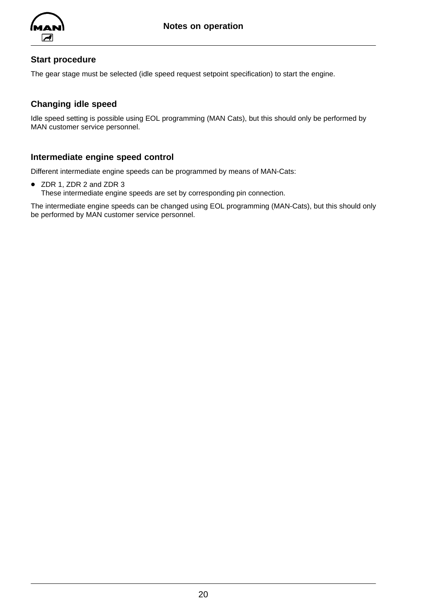<span id="page-21-0"></span>

## **Start procedure**

The gear stage must be selected (idle speed request setpoint specification) to start the engine.

## **Changing idle speed**

Idle speed setting is possible using EOL programming (MAN Cats), but this should only be performed by MAN customer service personnel.

### **Intermediate engine speed control**

Different intermediate engine speeds can be programmed by means of MAN-Cats:

 $\bullet$  ZDR 1, ZDR 2 and ZDR 3

These intermediate engine speeds are set by corresponding pin connection.

The intermediate engine speeds can be changed using EOL programming (MAN-Cats), but this should only be performed by MAN customer service personnel.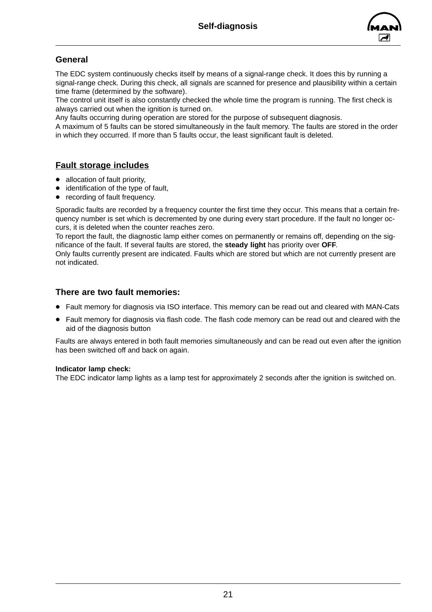

## <span id="page-22-0"></span>**General**

The EDC system continuously checks itself by means of a signal-range check. It does this by running a signal-range check. During this check, all signals are scanned for presence and plausibility within a certain time frame (determined by the software).

The control unit itself is also constantly checked the whole time the program is running. The first check is always carried out when the ignition is turned on.

Any faults occurring during operation are stored for the purpose of subsequent diagnosis.

A maximum of 5 faults can be stored simultaneously in the fault memory. The faults are stored in the order in which they occurred. If more than 5 faults occur, the least significant fault is deleted.

## **Fault storage includes**

- $\bullet$  allocation of fault priority,
- $\bullet$  identification of the type of fault.
- recording of fault frequency.

Sporadic faults are recorded by a frequency counter the first time they occur. This means that a certain frequency number is set which is decremented by one during every start procedure. If the fault no longer occurs, it is deleted when the counter reaches zero.

To report the fault, the diagnostic lamp either comes on permanently or remains off, depending on the significance of the fault. If several faults are stored, the **steady light** has priority over **OFF**.

Only faults currently present are indicated. Faults which are stored but which are not currently present are not indicated.

### **There are two fault memories:**

- Fault memory for diagnosis via ISO interface. This memory can be read out and cleared with MAN-Cats
- Fault memory for diagnosis via flash code. The flash code memory can be read out and cleared with the aid of the diagnosis button

Faults are always entered in both fault memories simultaneously and can be read out even after the ignition has been switched off and back on again.

#### **Indicator lamp check:**

The EDC indicator lamp lights as a lamp test for approximately 2 seconds after the ignition is switched on.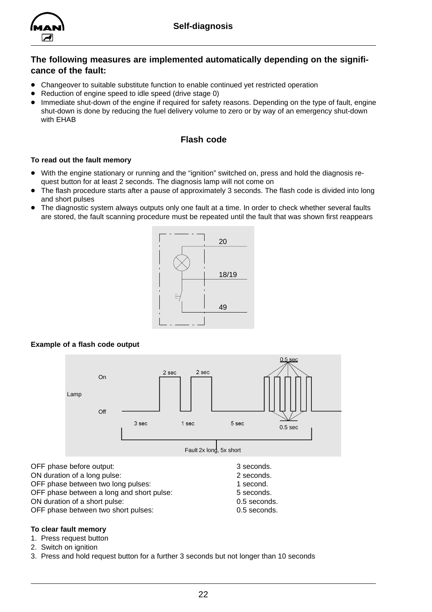<span id="page-23-0"></span>

### **The following measures are implemented automatically depending on the significance of the fault:**

- Changeover to suitable substitute function to enable continued vet restricted operation
- Reduction of engine speed to idle speed (drive stage 0)
- Immediate shut-down of the engine if required for safety reasons. Depending on the type of fault, engine shut-down is done by reducing the fuel delivery volume to zero or by way of an emergency shut-down with EHAB

### **Flash code**

#### **To read out the fault memory**

- With the engine stationary or running and the "ignition" switched on, press and hold the diagnosis request button for at least 2 seconds. The diagnosis lamp will not come on
- The flash procedure starts after a pause of approximately 3 seconds. The flash code is divided into long and short pulses
- The diagnostic system always outputs only one fault at a time. In order to check whether several faults are stored, the fault scanning procedure must be repeated until the fault that was shown first reappears



#### **Example of a flash code output**



OFF phase before output: 3 seconds. ON duration of a long pulse: 2 seconds. OFF phase between two long pulses: 1 second.<br>OFF phase between a long and short pulse: 5 seconds. OFF phase between a long and short pulse: ON duration of a short pulse: 0.5 seconds. OFF phase between two short pulses: 0.5 seconds.

#### **To clear fault memory**

- 1. Press request button
- 2. Switch on ignition
- 3. Press and hold request button for a further 3 seconds but not longer than 10 seconds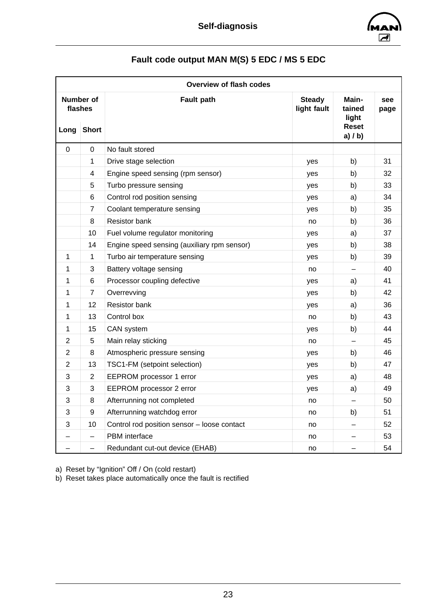

## **Fault code output MAN M(S) 5 EDC / MS 5 EDC**

|                | <b>Overview of flash codes</b>       |                                             |                                      |                                                       |             |  |  |  |
|----------------|--------------------------------------|---------------------------------------------|--------------------------------------|-------------------------------------------------------|-------------|--|--|--|
| Long           | Number of<br>flashes<br><b>Short</b> | <b>Fault path</b>                           | <b>Steady</b><br>light fault         | Main-<br>tained<br>light<br><b>Reset</b><br>$a)$ / b) | see<br>page |  |  |  |
| 0              | $\mathbf 0$                          | No fault stored                             |                                      |                                                       |             |  |  |  |
|                | 1                                    | Drive stage selection                       | yes                                  | b)                                                    | 31          |  |  |  |
|                | 4                                    | Engine speed sensing (rpm sensor)           | yes                                  | b)                                                    | 32          |  |  |  |
|                | 5                                    | Turbo pressure sensing                      | yes                                  | b)                                                    | 33          |  |  |  |
|                | 6                                    | Control rod position sensing                | yes                                  | a)                                                    | 34          |  |  |  |
|                | $\overline{7}$                       | Coolant temperature sensing                 | yes                                  | b)                                                    | 35          |  |  |  |
|                | 8                                    | <b>Resistor bank</b>                        | no                                   | b)                                                    | 36          |  |  |  |
|                | 10                                   | Fuel volume regulator monitoring            | yes                                  | a)                                                    | 37          |  |  |  |
|                | 14                                   | Engine speed sensing (auxiliary rpm sensor) | yes                                  | b)                                                    | 38          |  |  |  |
| $\mathbf{1}$   | $\mathbf{1}$                         | Turbo air temperature sensing               | yes                                  | b)                                                    | 39          |  |  |  |
| 1              | 3                                    | Battery voltage sensing                     | 40<br>no<br>$\overline{\phantom{0}}$ |                                                       |             |  |  |  |
| 1              | 6                                    | Processor coupling defective                | yes                                  | a)                                                    | 41          |  |  |  |
| 1              | $\overline{7}$                       | Overrevving                                 | yes                                  | b)                                                    | 42          |  |  |  |
| 1              | 12                                   | <b>Resistor bank</b>                        | yes                                  | a)                                                    | 36          |  |  |  |
| 1              | 13                                   | Control box                                 | no                                   | b)                                                    | 43          |  |  |  |
| 1              | 15                                   | CAN system                                  | yes                                  | b)                                                    | 44          |  |  |  |
| $\overline{2}$ | 5                                    | Main relay sticking                         | no                                   | $\qquad \qquad -$                                     | 45          |  |  |  |
| $\overline{2}$ | 8                                    | Atmospheric pressure sensing                | yes                                  | b)                                                    | 46          |  |  |  |
| $\overline{2}$ | 13                                   | TSC1-FM (setpoint selection)                | yes                                  | b)                                                    | 47          |  |  |  |
| 3              | $\overline{2}$                       | EEPROM processor 1 error                    | yes                                  | a)                                                    | 48          |  |  |  |
| 3              | 3                                    | EEPROM processor 2 error                    | yes                                  | a)                                                    | 49          |  |  |  |
| 3              | 8                                    | Afterrunning not completed                  | no                                   |                                                       | 50          |  |  |  |
| 3              | 9                                    | Afterrunning watchdog error                 | no                                   | b)                                                    | 51          |  |  |  |
| 3              | 10                                   | Control rod position sensor - loose contact | no                                   |                                                       | 52          |  |  |  |
|                | -                                    | PBM interface                               | no                                   |                                                       | 53          |  |  |  |
|                |                                      | 54<br>Redundant cut-out device (EHAB)<br>no |                                      |                                                       |             |  |  |  |

a) Reset by "Ignition" Off / On (cold restart)

b) Reset takes place automatically once the fault is rectified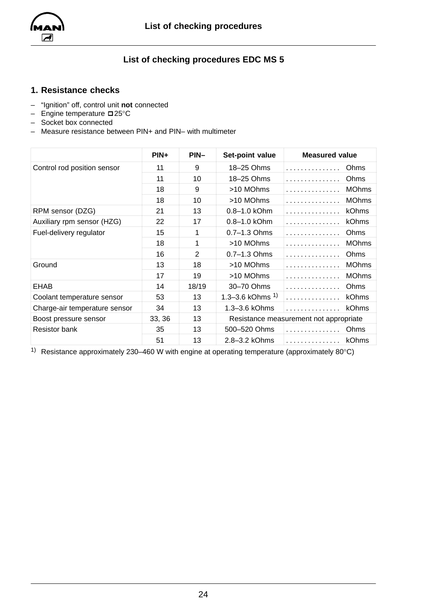<span id="page-25-0"></span>

## **List of checking procedures EDC MS 5**

### **1. Resistance checks**

- "Ignition" off, control unit **not** connected
- Engine temperature **□**25°C
- Socket box connected
- Measure resistance between PIN+ and PIN– with multimeter

|                               | $PIN+$ | $PIN-$         | Set-point value        | <b>Measured value</b>                  |
|-------------------------------|--------|----------------|------------------------|----------------------------------------|
| Control rod position sensor   | 11     | 9              | 18-25 Ohms             | Ohms                                   |
|                               | 11     | 10             | 18-25 Ohms             | Ohms<br>.                              |
|                               | 18     | 9              | >10 MOhms              | <b>MOhms</b>                           |
|                               | 18     | 10             | >10 MOhms              | <b>MOhms</b>                           |
| RPM sensor (DZG)              | 21     | 13             | 0.8-1.0 kOhm           | kOhms                                  |
| Auxiliary rpm sensor (HZG)    | 22     | 17             | 0.8-1.0 kOhm           | kOhms                                  |
| Fuel-delivery regulator       | 15     | 1              | $0.7 - 1.3$ Ohms       | Ohms                                   |
|                               | 18     | 1              | >10 MOhms              | <b>MOhms</b>                           |
|                               | 16     | $\overline{2}$ | $0.7 - 1.3$ Ohms       | Ohms<br>.                              |
| Ground                        | 13     | 18             | >10 MOhms              | <b>MOhms</b><br>.                      |
|                               | 17     | 19             | >10 MOhms              | <b>MOhms</b><br>.                      |
| <b>EHAB</b>                   | 14     | 18/19          | 30-70 Ohms             | Ohms<br>.                              |
| Coolant temperature sensor    | 53     | 13             | 1.3–3.6 kOhms $^{1}$ ) | kOhms<br>.                             |
| Charge-air temperature sensor | 34     | 13             | 1.3-3.6 kOhms          | kOhms<br>.                             |
| Boost pressure sensor         | 33, 36 | 13             |                        | Resistance measurement not appropriate |
| <b>Resistor bank</b>          | 35     | 13             | 500-520 Ohms           | Ohms<br>.                              |
|                               | 51     | 13             | 2.8-3.2 kOhms          | kOhms<br>.                             |

1) Resistance approximately 230–460 W with engine at operating temperature (approximately 80°C)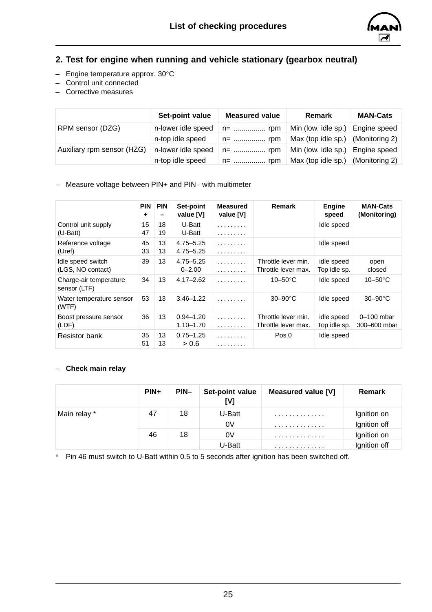

## **2. Test for engine when running and vehicle stationary (gearbox neutral)**

- Engine temperature approx. 30°C
- Control unit connected
- Corrective measures

|                            | Set-point value    | <b>Measured value</b> | Remark                                    | <b>MAN-Cats</b> |
|----------------------------|--------------------|-----------------------|-------------------------------------------|-----------------|
| RPM sensor (DZG)           | n-lower idle speed |                       | Min (low. idle sp.)   Engine speed        |                 |
|                            | n-top idle speed   | n=  rpm               | Max (top idle sp.) $ ($ Monitoring 2 $) $ |                 |
| Auxiliary rpm sensor (HZG) | n-lower idle speed |                       | Min (low. idle sp.)   Engine speed        |                 |
|                            | n-top idle speed   |                       | Max (top idle sp.) $ ($ Monitoring 2 $) $ |                 |

– Measure voltage between PIN+ and PIN– with multimeter

|                                        | <b>PIN</b><br>٠ | <b>PIN</b><br>- | Set-point<br>value [V] | <b>Measured</b><br>value [V] | <b>Remark</b>       | <b>Engine</b><br>speed | <b>MAN-Cats</b><br>(Monitoring) |
|----------------------------------------|-----------------|-----------------|------------------------|------------------------------|---------------------|------------------------|---------------------------------|
| Control unit supply                    | 15              | 18              | U-Batt                 | .                            |                     | Idle speed             |                                 |
| $(U-Batt)$                             | 47              | 19              | U-Batt                 | .                            |                     |                        |                                 |
| Reference voltage                      | 45              | 13              | $4.75 - 5.25$          | .                            |                     | Idle speed             |                                 |
| (Uref)                                 | 33              | 13              | $4.75 - 5.25$          | .                            |                     |                        |                                 |
| Idle speed switch                      | 39              | 13              | $4.75 - 5.25$          | .                            | Throttle lever min. | idle speed             | open                            |
| (LGS, NO contact)                      |                 |                 | $0 - 2.00$             | .                            | Throttle lever max. | Top idle sp.           | closed                          |
| Charge-air temperature<br>sensor (LTF) | 34              | 13              | $4.17 - 2.62$          | .                            | $10-50$ °C          | Idle speed             | $10-50$ °C                      |
| Water temperature sensor<br>(WTF)      | 53              | 13              | $3.46 - 1.22$          | .                            | $30 - 90^{\circ}$ C | Idle speed             | $30 - 90^{\circ}$ C             |
| Boost pressure sensor                  | 36              | 13              | $0.94 - 1.20$          | .                            | Throttle lever min. | idle speed             | $0-100$ mbar                    |
| (LDF)                                  |                 |                 | $1.10 - 1.70$          | .                            | Throttle lever max. | Top idle sp.           | 300-600 mbar                    |
| <b>Resistor bank</b>                   | 35              | 13              | $0.75 - 1.25$          | .                            | Pos 0               | Idle speed             |                                 |
|                                        | 51              | 13              | > 0.6                  | .                            |                     |                        |                                 |

#### – **Check main relay**

|              | PIN+ | PIN- | Set-point value<br>[V] | <b>Measured value [V]</b> | Remark       |
|--------------|------|------|------------------------|---------------------------|--------------|
| Main relay * | 47   | 18   | U-Batt                 | .                         | Ignition on  |
|              |      |      | 0V                     | .                         | Ignition off |
|              | 46   | 18   | 0V                     | .                         | Ignition on  |
|              |      |      | U-Batt                 | .                         | Ignition off |

\* Pin 46 must switch to U-Batt within 0.5 to 5 seconds after ignition has been switched off.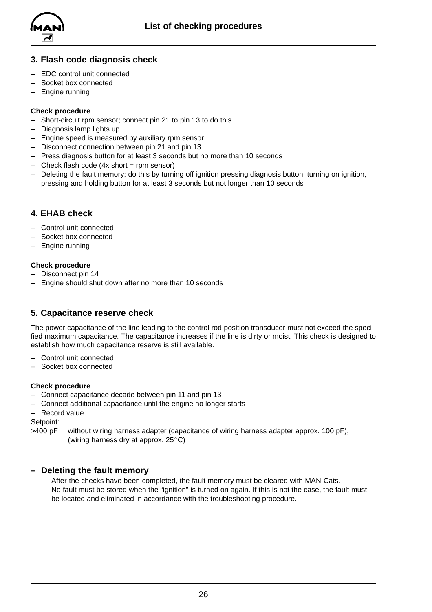<span id="page-27-0"></span>

### **3. Flash code diagnosis check**

- EDC control unit connected
- Socket box connected
- Engine running

#### **Check procedure**

- Short-circuit rpm sensor; connect pin 21 to pin 13 to do this
- Diagnosis lamp lights up
- Engine speed is measured by auxiliary rpm sensor
- Disconnect connection between pin 21 and pin 13
- Press diagnosis button for at least 3 seconds but no more than 10 seconds
- $-$  Check flash code (4x short = rpm sensor)
- Deleting the fault memory; do this by turning off ignition pressing diagnosis button, turning on ignition, pressing and holding button for at least 3 seconds but not longer than 10 seconds

## **4. EHAB check**

- Control unit connected
- Socket box connected
- Engine running

#### **Check procedure**

- Disconnect pin 14
- Engine should shut down after no more than 10 seconds

### **5. Capacitance reserve check**

The power capacitance of the line leading to the control rod position transducer must not exceed the specified maximum capacitance. The capacitance increases if the line is dirty or moist. This check is designed to establish how much capacitance reserve is still available.

- Control unit connected
- Socket box connected

#### **Check procedure**

- Connect capacitance decade between pin 11 and pin 13
- Connect additional capacitance until the engine no longer starts
- Record value

Setpoint:

>400 pF without wiring harness adapter (capacitance of wiring harness adapter approx. 100 pF), (wiring harness dry at approx.  $25^{\circ}$ C)

#### **– Deleting the fault memory**

After the checks have been completed, the fault memory must be cleared with MAN-Cats. No fault must be stored when the "ignition" is turned on again. If this is not the case, the fault must be located and eliminated in accordance with the troubleshooting procedure.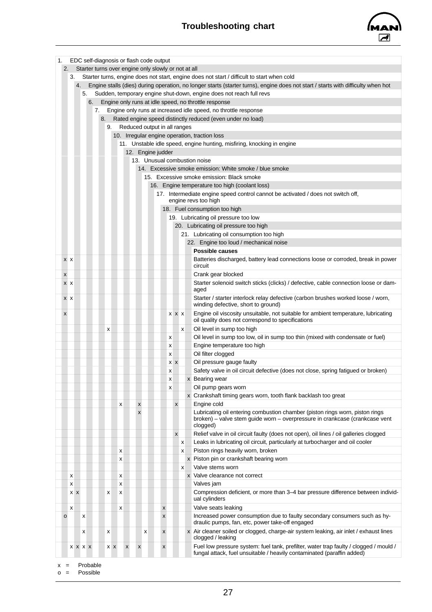

<span id="page-28-0"></span>

| EDC self-diagnosis or flash code output<br>1. |                                                     |                              |                    |                    |   |                |                                                                                                                                                                         |
|-----------------------------------------------|-----------------------------------------------------|------------------------------|--------------------|--------------------|---|----------------|-------------------------------------------------------------------------------------------------------------------------------------------------------------------------|
| 2.                                            | Starter turns over engine only slowly or not at all |                              |                    |                    |   |                |                                                                                                                                                                         |
| 3.                                            |                                                     |                              |                    |                    |   |                | Starter turns, engine does not start, engine does not start / difficult to start when cold                                                                              |
| 4.                                            |                                                     |                              |                    |                    |   |                | Engine stalls (dies) during operation, no longer starts (starter turns), engine does not start / starts with difficulty when hot                                        |
| 5.                                            |                                                     |                              |                    |                    |   |                | Sudden, temporary engine shut-down, engine does not reach full revs                                                                                                     |
|                                               |                                                     |                              |                    |                    |   |                | 6. Engine only runs at idle speed, no throttle response                                                                                                                 |
| 7.                                            |                                                     |                              |                    |                    |   |                | Engine only runs at increased idle speed, no throttle response                                                                                                          |
|                                               | 8.                                                  |                              |                    |                    |   |                | Rated engine speed distinctly reduced (even under no load)                                                                                                              |
|                                               | 9. Reduced output in all ranges                     |                              |                    |                    |   |                |                                                                                                                                                                         |
|                                               |                                                     |                              |                    |                    |   |                | 10. Irregular engine operation, traction loss                                                                                                                           |
|                                               |                                                     |                              |                    |                    |   |                |                                                                                                                                                                         |
|                                               |                                                     |                              |                    |                    |   |                | 11. Unstable idle speed, engine hunting, misfiring, knocking in engine                                                                                                  |
|                                               |                                                     | 12. Engine judder            |                    |                    |   |                |                                                                                                                                                                         |
|                                               |                                                     | 13. Unusual combustion noise |                    |                    |   |                |                                                                                                                                                                         |
|                                               |                                                     |                              |                    |                    |   |                | 14. Excessive smoke emission: White smoke / blue smoke                                                                                                                  |
|                                               |                                                     |                              |                    |                    |   |                | 15. Excessive smoke emission: Black smoke                                                                                                                               |
|                                               |                                                     |                              |                    |                    |   |                | 16. Engine temperature too high (coolant loss)                                                                                                                          |
|                                               |                                                     |                              |                    |                    |   |                | 17. Intermediate engine speed control cannot be activated / does not switch off,<br>engine revs too high                                                                |
|                                               |                                                     |                              |                    |                    |   |                | 18. Fuel consumption too high                                                                                                                                           |
|                                               |                                                     |                              |                    |                    |   |                | 19. Lubricating oil pressure too low                                                                                                                                    |
|                                               |                                                     |                              |                    |                    |   |                | 20. Lubricating oil pressure too high                                                                                                                                   |
|                                               |                                                     |                              |                    |                    |   |                | 21. Lubricating oil consumption too high                                                                                                                                |
|                                               |                                                     |                              |                    |                    |   |                | 22. Engine too loud / mechanical noise                                                                                                                                  |
|                                               |                                                     |                              |                    |                    |   |                | <b>Possible causes</b>                                                                                                                                                  |
| x x                                           |                                                     |                              |                    |                    |   |                | Batteries discharged, battery lead connections loose or corroded, break in power                                                                                        |
|                                               |                                                     |                              |                    |                    |   |                | circuit                                                                                                                                                                 |
| X                                             |                                                     |                              |                    |                    |   |                | Crank gear blocked                                                                                                                                                      |
| $X$ $X$                                       |                                                     |                              |                    |                    |   |                | Starter solenoid switch sticks (clicks) / defective, cable connection loose or dam-<br>aged                                                                             |
| x x                                           |                                                     |                              |                    |                    |   |                | Starter / starter interlock relay defective (carbon brushes worked loose / worn,<br>winding defective, short to ground)                                                 |
| X                                             |                                                     |                              |                    | $X$ $X$ $X$        |   |                | Engine oil viscosity unsuitable, not suitable for ambient temperature, lubricating<br>oil quality does not correspond to specifications                                 |
|                                               | x                                                   |                              |                    |                    | X |                | Oil level in sump too high                                                                                                                                              |
|                                               |                                                     |                              |                    | x                  |   |                | Oil level in sump too low, oil in sump too thin (mixed with condensate or fuel)                                                                                         |
|                                               |                                                     |                              |                    | x                  |   |                | Engine temperature too high                                                                                                                                             |
|                                               |                                                     |                              |                    | x                  |   |                | Oil filter clogged                                                                                                                                                      |
|                                               |                                                     |                              |                    | X X                |   |                | Oil pressure gauge faulty                                                                                                                                               |
|                                               |                                                     |                              |                    | х                  |   |                | Safety valve in oil circuit defective (does not close, spring fatigued or broken)                                                                                       |
|                                               |                                                     |                              |                    | x                  |   |                | x Bearing wear                                                                                                                                                          |
|                                               |                                                     |                              |                    | X                  |   |                | Oil pump gears worn                                                                                                                                                     |
|                                               |                                                     |                              |                    |                    |   | $\pmb{\times}$ | Crankshaft timing gears worn, tooth flank backlash too great                                                                                                            |
|                                               | x                                                   | $\pmb{\mathsf{x}}$           |                    | $\pmb{\mathsf{x}}$ |   |                | Engine cold                                                                                                                                                             |
|                                               |                                                     | X                            |                    |                    |   |                | Lubricating oil entering combustion chamber (piston rings worn, piston rings<br>broken) – valve stem guide worn – overpressure in crankcase (crankcase vent<br>clogged) |
|                                               |                                                     |                              |                    | $\pmb{\mathsf{x}}$ |   |                | Relief valve in oil circuit faulty (does not open), oil lines / oil galleries clogged                                                                                   |
|                                               |                                                     |                              |                    |                    | х |                | Leaks in lubricating oil circuit, particularly at turbocharger and oil cooler                                                                                           |
|                                               | х                                                   |                              |                    |                    | X |                | Piston rings heavily worn, broken                                                                                                                                       |
|                                               | х                                                   |                              |                    |                    |   | X              | Piston pin or crankshaft bearing worn                                                                                                                                   |
|                                               |                                                     |                              |                    |                    | X |                | Valve stems worn                                                                                                                                                        |
|                                               |                                                     |                              |                    |                    |   |                |                                                                                                                                                                         |
| x                                             | х                                                   |                              |                    |                    |   | $\pmb{\times}$ | Valve clearance not correct                                                                                                                                             |
| x                                             | х                                                   |                              |                    |                    |   |                | Valves jam                                                                                                                                                              |
| X X                                           | x<br>x                                              |                              |                    |                    |   |                | Compression deficient, or more than 3-4 bar pressure difference between individ-<br>ual cylinders                                                                       |
| x                                             | х                                                   |                              | $\pmb{\mathsf{x}}$ |                    |   |                | Valve seats leaking                                                                                                                                                     |
| $\circ$<br>X                                  |                                                     |                              | X                  |                    |   |                | Increased power consumption due to faulty secondary consumers such as hy-<br>draulic pumps, fan, etc, power take-off engaged                                            |
| X                                             | x                                                   | x                            | X                  |                    |   | X              | Air cleaner soiled or clogged, charge-air system leaking, air inlet / exhaust lines<br>clogged / leaking                                                                |
| x x x x                                       | X X<br>X                                            | $\pmb{\mathsf{x}}$           | X                  |                    |   |                | Fuel low pressure system: fuel tank, prefilter, water trap faulty / clogged / mould /                                                                                   |
|                                               |                                                     |                              |                    |                    |   |                | fungal attack, fuel unsuitable / heavily contaminated (paraffin added)                                                                                                  |

x = Probable

27

 $o = \text{Possible}$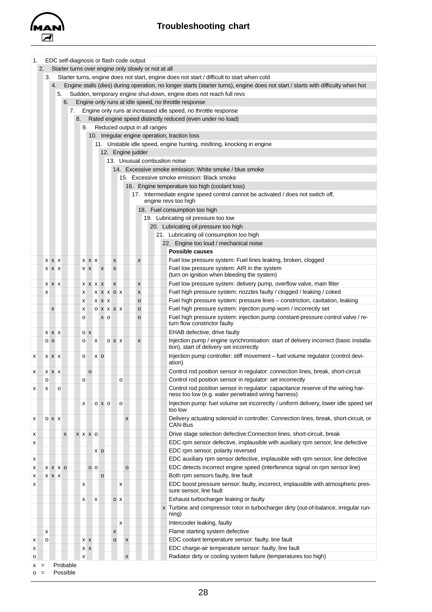

| 1.           | EDC self-diagnosis or flash code output                                                                                                |       |                |    |         |     |                |     |              |         |                    |                    |                                 |                                                                                                                                   |
|--------------|----------------------------------------------------------------------------------------------------------------------------------------|-------|----------------|----|---------|-----|----------------|-----|--------------|---------|--------------------|--------------------|---------------------------------|-----------------------------------------------------------------------------------------------------------------------------------|
|              | Starter turns over engine only slowly or not at all<br>2.                                                                              |       |                |    |         |     |                |     |              |         |                    |                    |                                 |                                                                                                                                   |
|              | Starter turns, engine does not start, engine does not start / difficult to start when cold<br>3.                                       |       |                |    |         |     |                |     |              |         |                    |                    |                                 |                                                                                                                                   |
|              | Engine stalls (dies) during operation, no longer starts (starter turns), engine does not start / starts with difficulty when hot<br>4. |       |                |    |         |     |                |     |              |         |                    |                    |                                 |                                                                                                                                   |
|              | Sudden, temporary engine shut-down, engine does not reach full revs<br>5.                                                              |       |                |    |         |     |                |     |              |         |                    |                    |                                 |                                                                                                                                   |
|              |                                                                                                                                        |       |                | 6. |         |     |                |     |              |         |                    |                    |                                 | Engine only runs at idle speed, no throttle response                                                                              |
|              |                                                                                                                                        |       |                | 7. |         |     |                |     |              |         |                    |                    |                                 | Engine only runs at increased idle speed, no throttle response                                                                    |
|              |                                                                                                                                        |       |                |    | 8.      |     |                |     |              |         |                    |                    |                                 | Rated engine speed distinctly reduced (even under no load)                                                                        |
|              |                                                                                                                                        |       |                |    |         |     |                |     |              |         |                    |                    | 9. Reduced output in all ranges |                                                                                                                                   |
|              |                                                                                                                                        |       |                |    |         |     |                |     |              |         |                    |                    |                                 | 10. Irregular engine operation, traction loss                                                                                     |
|              |                                                                                                                                        |       |                |    |         |     |                |     |              |         |                    |                    |                                 | 11. Unstable idle speed, engine hunting, misfiring, knocking in engine                                                            |
|              |                                                                                                                                        |       |                |    |         |     |                |     |              |         | 12. Engine judder  |                    |                                 |                                                                                                                                   |
|              |                                                                                                                                        |       |                |    |         |     |                |     |              |         |                    |                    |                                 | 13. Unusual combustion noise                                                                                                      |
|              |                                                                                                                                        |       |                |    |         |     |                |     |              |         |                    |                    |                                 | 14. Excessive smoke emission: White smoke / blue smoke                                                                            |
|              |                                                                                                                                        |       |                |    |         |     |                |     |              |         |                    |                    |                                 |                                                                                                                                   |
|              | 15. Excessive smoke emission: Black smoke<br>16. Engine temperature too high (coolant loss)                                            |       |                |    |         |     |                |     |              |         |                    |                    |                                 |                                                                                                                                   |
|              |                                                                                                                                        |       |                |    |         |     |                |     |              |         |                    |                    |                                 |                                                                                                                                   |
|              |                                                                                                                                        |       |                |    |         |     |                |     |              |         |                    |                    |                                 | 17. Intermediate engine speed control cannot be activated / does not switch off,<br>engine revs too high                          |
|              |                                                                                                                                        |       |                |    |         |     |                |     |              |         |                    |                    |                                 | 18. Fuel consumption too high                                                                                                     |
|              |                                                                                                                                        |       |                |    |         |     |                |     |              |         |                    |                    |                                 | 19. Lubricating oil pressure too low                                                                                              |
|              |                                                                                                                                        |       |                |    |         |     |                |     |              |         |                    |                    |                                 |                                                                                                                                   |
|              |                                                                                                                                        |       |                |    |         |     |                |     |              |         |                    |                    |                                 | 20. Lubricating oil pressure too high                                                                                             |
|              |                                                                                                                                        |       |                |    |         |     |                |     |              |         |                    |                    |                                 | 21. Lubricating oil consumption too high                                                                                          |
|              |                                                                                                                                        |       |                |    |         |     |                |     |              |         |                    |                    |                                 | 22. Engine too loud / mechanical noise                                                                                            |
|              |                                                                                                                                        |       |                |    |         |     |                |     |              |         |                    |                    |                                 | <b>Possible causes</b>                                                                                                            |
|              |                                                                                                                                        | X X X |                |    |         |     | x x x          |     |              | X       |                    | $\pmb{\times}$     |                                 | Fuel low pressure system: Fuel lines leaking, broken, clogged                                                                     |
|              |                                                                                                                                        | x x x |                |    |         | X X |                |     | X            | X       |                    |                    |                                 | Fuel low pressure system: AIR in the system<br>(turn on ignition when bleeding the system)                                        |
|              |                                                                                                                                        |       |                |    |         |     |                |     |              |         |                    |                    |                                 |                                                                                                                                   |
|              |                                                                                                                                        | x x x |                |    |         |     | X X X X        |     |              | X       |                    | $\pmb{\mathsf{x}}$ |                                 | Fuel low pressure system: delivery pump, overflow valve, main filter                                                              |
|              | x                                                                                                                                      |       |                |    |         | х   |                |     | <b>XXXOX</b> |         |                    | X                  |                                 | Fuel high pressure system: nozzles faulty / clogged / leaking / coked                                                             |
|              |                                                                                                                                        |       |                |    |         | х   |                |     | X X X        |         |                    | o                  |                                 | Fuel high pressure system: pressure lines – constriction, cavitation, leaking                                                     |
|              |                                                                                                                                        | X     |                |    |         | х   |                |     | OXXXX        |         |                    | $\mathsf{o}$       |                                 | Fuel high pressure system: injection pump worn / incorrectly set                                                                  |
|              |                                                                                                                                        |       |                |    |         | o   |                |     | $X$ O        |         |                    | $\circ$            |                                 | Fuel high pressure system: injection pump constant-pressure control valve / re-<br>turn flow constrictor faulty                   |
|              |                                                                                                                                        |       |                |    |         |     |                |     |              |         |                    |                    |                                 |                                                                                                                                   |
|              |                                                                                                                                        | X X X |                |    |         | O X |                |     |              |         |                    |                    |                                 | EHAB defective, drive faulty                                                                                                      |
|              | 0 <sub>0</sub>                                                                                                                         |       |                |    |         | o   |                | x   |              | 0 X X   |                    | $\pmb{\times}$     |                                 | Injection pump / engine synchronisation: start of delivery incorrect (basic installa-<br>tion), start of delivery set incorrectly |
| х            |                                                                                                                                        | X X X |                |    |         | o   |                | X O |              |         |                    |                    |                                 | Injection pump controller: stiff movement – fuel volume regulator (control devi-                                                  |
|              |                                                                                                                                        |       |                |    |         |     |                |     |              |         |                    |                    |                                 | ation)                                                                                                                            |
| х            |                                                                                                                                        | X X X |                |    |         |     | $\mathsf{o}$   |     |              |         |                    |                    |                                 | Control rod position sensor in regulator: connection lines, break, short-circuit                                                  |
|              | o                                                                                                                                      |       |                |    |         | o   |                |     |              |         | o                  |                    |                                 | Control rod position sensor in regulator: set incorrectly                                                                         |
|              | x                                                                                                                                      |       | $\mathsf{o}\,$ |    |         |     |                |     |              |         |                    |                    |                                 | Control rod position sensor in regulator: capacitance reserve of the wiring har-                                                  |
| х            |                                                                                                                                        |       |                |    |         |     |                |     |              |         |                    |                    |                                 | ness too low (e.g. water penetrated wiring harness)                                                                               |
|              |                                                                                                                                        |       |                |    |         | х   |                |     | 0 X 0        |         | $\mathsf{o}$       |                    |                                 | Injection pump: fuel volume set incorrectly / uniform delivery, lower idle speed set                                              |
|              |                                                                                                                                        |       |                |    |         |     |                |     |              |         |                    |                    |                                 | too low                                                                                                                           |
| x            |                                                                                                                                        | O X X |                |    |         |     |                |     |              |         | x                  |                    |                                 | Delivery actuating solenoid in controller: Connection lines, break, short-circuit, or                                             |
|              |                                                                                                                                        |       |                |    |         |     |                |     |              |         |                    |                    |                                 | CAN-Bus                                                                                                                           |
| x            |                                                                                                                                        |       | X              |    | X X X O |     |                |     |              |         |                    |                    |                                 | Drive stage selection defective: Connection lines, short-circuit, break                                                           |
| х            |                                                                                                                                        |       |                |    |         |     |                |     |              |         |                    |                    |                                 | EDC rpm sensor defective, implausible with auxiliary rpm sensor, line defective                                                   |
|              |                                                                                                                                        |       |                |    |         |     |                | X O |              |         |                    |                    |                                 | EDC rpm sensor, polarity reversed                                                                                                 |
| х            |                                                                                                                                        |       |                |    |         |     |                |     |              |         |                    |                    |                                 | EDC auxiliary rpm sensor defective, implausible with rpm sensor, line defective                                                   |
| x            |                                                                                                                                        |       | X X X O        |    |         |     | 0 <sub>0</sub> |     |              |         | $\circ$            |                    |                                 | EDC detects incorrect engine speed (interference signal on rpm sensor line)                                                       |
| x            |                                                                                                                                        | X X X |                |    |         |     |                |     | $\circ$      |         |                    |                    |                                 | Both rpm sensors faulty, line fault                                                                                               |
| х            |                                                                                                                                        |       |                |    |         | х   |                |     |              |         | х                  |                    |                                 | EDC boost pressure sensor: faulty, incorrect, implausible with atmospheric pres-                                                  |
|              |                                                                                                                                        |       |                |    |         |     |                |     |              |         |                    |                    |                                 | sure sensor, line fault                                                                                                           |
|              |                                                                                                                                        |       |                |    |         | х   |                | x   |              |         | O X                |                    |                                 | Exhaust turbocharger leaking or faulty                                                                                            |
|              |                                                                                                                                        |       |                |    |         |     |                |     |              |         |                    |                    | X                               | Turbine and compressor rotor in turbocharger dirty (out-of-balance, irregular run-                                                |
|              |                                                                                                                                        |       |                |    |         |     |                |     |              |         |                    |                    |                                 | ning)                                                                                                                             |
|              |                                                                                                                                        |       |                |    |         |     |                |     |              |         | x                  |                    |                                 | Intercooler leaking, faulty                                                                                                       |
|              | х                                                                                                                                      |       |                |    |         |     |                |     |              | X       |                    |                    |                                 | Flame starting system defective                                                                                                   |
| x            | $\mathsf{o}$                                                                                                                           |       |                |    |         | X X |                |     |              | $\circ$ | $\pmb{\mathsf{x}}$ |                    |                                 | EDC coolant temperature sensor: faulty, line fault                                                                                |
| x            |                                                                                                                                        |       |                |    |         | X X |                |     |              |         |                    |                    |                                 | EDC charge-air temperature sensor: faulty, line fault                                                                             |
| $\mathsf{o}$ |                                                                                                                                        |       |                |    |         | x   |                |     |              |         | $\pmb{\mathsf{x}}$ |                    |                                 | Radiator dirty or cooling system failure (temperatures too high)                                                                  |
| $x =$        |                                                                                                                                        |       | Probable       |    |         |     |                |     |              |         |                    |                    |                                 |                                                                                                                                   |

o = Possible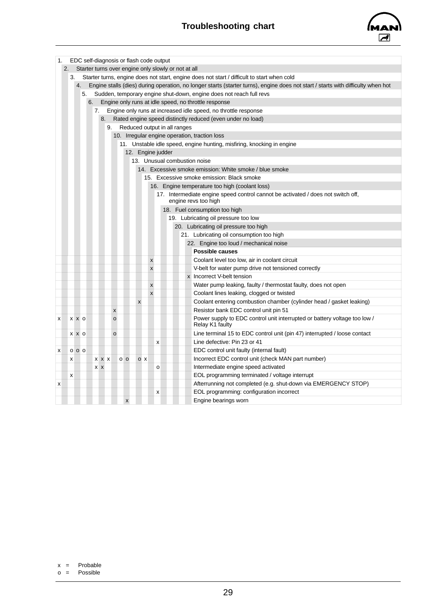

| 1. |                                                                                                  |                |  |       |    |         |                |                    |   | EDC self-diagnosis or flash code output |   |                                                                                                                                  |
|----|--------------------------------------------------------------------------------------------------|----------------|--|-------|----|---------|----------------|--------------------|---|-----------------------------------------|---|----------------------------------------------------------------------------------------------------------------------------------|
|    | 2.<br>Starter turns over engine only slowly or not at all                                        |                |  |       |    |         |                |                    |   |                                         |   |                                                                                                                                  |
|    | Starter turns, engine does not start, engine does not start / difficult to start when cold<br>3. |                |  |       |    |         |                |                    |   |                                         |   |                                                                                                                                  |
|    |                                                                                                  | 4.             |  |       |    |         |                |                    |   |                                         |   | Engine stalls (dies) during operation, no longer starts (starter turns), engine does not start / starts with difficulty when hot |
|    |                                                                                                  | 5.             |  |       |    |         |                |                    |   |                                         |   | Sudden, temporary engine shut-down, engine does not reach full revs                                                              |
|    |                                                                                                  |                |  |       |    |         |                |                    |   |                                         |   | 6. Engine only runs at idle speed, no throttle response                                                                          |
|    |                                                                                                  |                |  |       |    |         |                |                    |   |                                         |   | 7. Engine only runs at increased idle speed, no throttle response                                                                |
|    |                                                                                                  |                |  |       | 8. |         |                |                    |   |                                         |   | Rated engine speed distinctly reduced (even under no load)                                                                       |
|    |                                                                                                  |                |  |       |    |         |                |                    |   | 9. Reduced output in all ranges         |   |                                                                                                                                  |
|    |                                                                                                  |                |  |       |    |         |                |                    |   |                                         |   | 10. Irregular engine operation, traction loss                                                                                    |
|    |                                                                                                  |                |  |       |    |         |                |                    |   |                                         |   | 11. Unstable idle speed, engine hunting, misfiring, knocking in engine                                                           |
|    |                                                                                                  |                |  |       |    |         |                |                    |   | 12. Engine judder                       |   |                                                                                                                                  |
|    |                                                                                                  |                |  |       |    |         |                |                    |   |                                         |   | 13. Unusual combustion noise                                                                                                     |
|    |                                                                                                  |                |  |       |    |         |                |                    |   |                                         |   | 14. Excessive smoke emission: White smoke / blue smoke                                                                           |
|    |                                                                                                  |                |  |       |    |         |                |                    |   |                                         |   | 15. Excessive smoke emission: Black smoke                                                                                        |
|    |                                                                                                  |                |  |       |    |         |                |                    |   |                                         |   | 16. Engine temperature too high (coolant loss)                                                                                   |
|    |                                                                                                  |                |  |       |    |         |                |                    |   |                                         |   | 17. Intermediate engine speed control cannot be activated / does not switch off,                                                 |
|    |                                                                                                  |                |  |       |    |         |                |                    |   |                                         |   | engine revs too high                                                                                                             |
|    |                                                                                                  |                |  |       |    |         |                |                    |   |                                         |   | 18. Fuel consumption too high                                                                                                    |
|    |                                                                                                  |                |  |       |    |         |                |                    |   |                                         |   | 19. Lubricating oil pressure too low                                                                                             |
|    |                                                                                                  |                |  |       |    |         |                |                    |   |                                         |   | 20. Lubricating oil pressure too high                                                                                            |
|    |                                                                                                  |                |  |       |    |         |                |                    |   |                                         |   | 21. Lubricating oil consumption too high                                                                                         |
|    |                                                                                                  |                |  |       |    |         |                |                    |   |                                         |   | 22. Engine too loud / mechanical noise                                                                                           |
|    |                                                                                                  |                |  |       |    |         |                |                    |   |                                         |   | <b>Possible causes</b>                                                                                                           |
|    |                                                                                                  |                |  |       |    |         |                |                    | X |                                         |   | Coolant level too low, air in coolant circuit                                                                                    |
|    |                                                                                                  |                |  |       |    |         |                |                    | X |                                         |   | V-belt for water pump drive not tensioned correctly                                                                              |
|    |                                                                                                  |                |  |       |    |         |                |                    |   |                                         | X | Incorrect V-belt tension                                                                                                         |
|    |                                                                                                  |                |  |       |    |         |                |                    | X |                                         |   | Water pump leaking, faulty / thermostat faulty, does not open                                                                    |
|    |                                                                                                  |                |  |       |    |         |                |                    | X |                                         |   | Coolant lines leaking, clogged or twisted                                                                                        |
|    |                                                                                                  |                |  |       |    |         |                | $\pmb{\mathsf{X}}$ |   |                                         |   | Coolant entering combustion chamber (cylinder head / gasket leaking)                                                             |
|    |                                                                                                  |                |  |       |    | X       |                |                    |   |                                         |   | Resistor bank EDC control unit pin 51                                                                                            |
| X  |                                                                                                  | X X O          |  |       |    | $\circ$ |                |                    |   |                                         |   | Power supply to EDC control unit interrupted or battery voltage too low /<br>Relay K1 faulty                                     |
|    |                                                                                                  | x x o          |  |       |    | $\circ$ |                |                    |   |                                         |   | Line terminal 15 to EDC control unit (pin 47) interrupted / loose contact                                                        |
|    |                                                                                                  |                |  |       |    |         |                |                    |   | x                                       |   | Line defective: Pin 23 or 41                                                                                                     |
| X  |                                                                                                  | 0 <sub>0</sub> |  |       |    |         |                |                    |   |                                         |   | EDC control unit faulty (internal fault)                                                                                         |
|    | X                                                                                                |                |  | x x x |    |         | 0 <sub>0</sub> | O X                |   |                                         |   | Incorrect EDC control unit (check MAN part number)                                                                               |
|    |                                                                                                  |                |  | X X   |    |         |                |                    |   | $\circ$                                 |   | Intermediate engine speed activated                                                                                              |
|    | X                                                                                                |                |  |       |    |         |                |                    |   |                                         |   | EOL programming terminated / voltage interrupt                                                                                   |
| x  |                                                                                                  |                |  |       |    |         |                |                    |   |                                         |   | Afterrunning not completed (e.g. shut-down via EMERGENCY STOP)                                                                   |
|    |                                                                                                  |                |  |       |    |         |                |                    |   | x                                       |   | EOL programming: configuration incorrect                                                                                         |
|    |                                                                                                  |                |  |       |    |         | X              |                    |   |                                         |   | Engine bearings worn                                                                                                             |

x = Probable

 $o = \text{Possible}$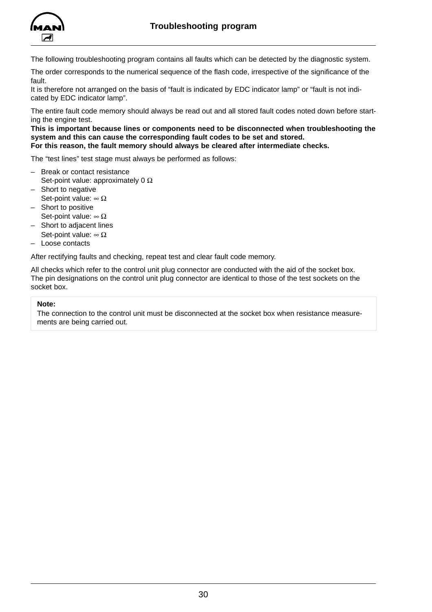<span id="page-31-0"></span>

The following troubleshooting program contains all faults which can be detected by the diagnostic system.

The order corresponds to the numerical sequence of the flash code, irrespective of the significance of the fault.

It is therefore not arranged on the basis of "fault is indicated by EDC indicator lamp" or "fault is not indicated by EDC indicator lamp".

The entire fault code memory should always be read out and all stored fault codes noted down before starting the engine test.

**This is important because lines or components need to be disconnected when troubleshooting the system and this can cause the corresponding fault codes to be set and stored. For this reason, the fault memory should always be cleared after intermediate checks.**

The "test lines" test stage must always be performed as follows:

- Break or contact resistance
- Set-point value: approximately 0 Ω
- Short to negative Set-point value:  $\infty \Omega$
- Short to positive
- Set-point value:  $\infty \Omega$
- Short to adjacent lines Set-point value:  $\infty \Omega$
- Loose contacts

After rectifying faults and checking, repeat test and clear fault code memory.

All checks which refer to the control unit plug connector are conducted with the aid of the socket box. The pin designations on the control unit plug connector are identical to those of the test sockets on the socket box.

#### **Note:**

The connection to the control unit must be disconnected at the socket box when resistance measurements are being carried out.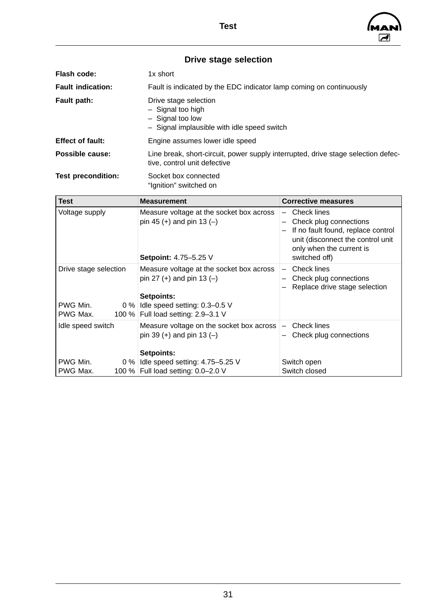

<span id="page-32-0"></span>

| Drive stage selection     |                                                                                                                   |  |  |  |  |  |  |
|---------------------------|-------------------------------------------------------------------------------------------------------------------|--|--|--|--|--|--|
| Flash code:               | 1x short                                                                                                          |  |  |  |  |  |  |
| <b>Fault indication:</b>  | Fault is indicated by the EDC indicator lamp coming on continuously                                               |  |  |  |  |  |  |
| Fault path:               | Drive stage selection<br>- Signal too high<br>$-$ Signal too low<br>- Signal implausible with idle speed switch   |  |  |  |  |  |  |
| <b>Effect of fault:</b>   | Engine assumes lower idle speed                                                                                   |  |  |  |  |  |  |
| <b>Possible cause:</b>    | Line break, short-circuit, power supply interrupted, drive stage selection defec-<br>tive, control unit defective |  |  |  |  |  |  |
| <b>Test precondition:</b> | Socket box connected                                                                                              |  |  |  |  |  |  |

"Ignition" switched on

| <b>Test</b>           | <b>Measurement</b>                                                                  | <b>Corrective measures</b>                                                                                                                   |
|-----------------------|-------------------------------------------------------------------------------------|----------------------------------------------------------------------------------------------------------------------------------------------|
| Voltage supply        | Measure voltage at the socket box across<br>pin 45 (+) and pin 13 (-)               | Check lines<br>Check plug connections<br>If no fault found, replace control<br>unit (disconnect the control unit<br>only when the current is |
|                       | <b>Setpoint: 4.75–5.25 V</b>                                                        | switched off)                                                                                                                                |
| Drive stage selection | Measure voltage at the socket box across<br>pin 27 (+) and pin 13 (-)<br>Setpoints: | <b>Check lines</b><br>Check plug connections<br>Replace drive stage selection                                                                |
| PWG Min.              | 0 % Idle speed setting: $0.3-0.5$ V                                                 |                                                                                                                                              |
| PWG Max.              | 100 %   Full load setting: 2.9-3.1 V                                                |                                                                                                                                              |
| Idle speed switch     | Measure voltage on the socket box across<br>pin 39 (+) and pin 13 (-)<br>Setpoints: | <b>Check lines</b><br>$\qquad \qquad -$<br>Check plug connections                                                                            |
| PWG Min.<br>$0\%$     | Idle speed setting: 4.75-5.25 V                                                     | Switch open                                                                                                                                  |
| PWG Max.              | 100 %   Full load setting: 0.0–2.0 V                                                | Switch closed                                                                                                                                |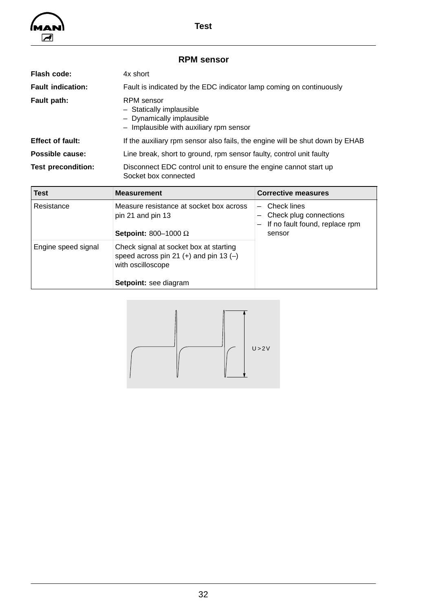<span id="page-33-0"></span>

**Test**

## **RPM sensor**

| Flash code:               | 4x short                                                                                                       |  |  |
|---------------------------|----------------------------------------------------------------------------------------------------------------|--|--|
| <b>Fault indication:</b>  | Fault is indicated by the EDC indicator lamp coming on continuously                                            |  |  |
| Fault path:               | RPM sensor<br>- Statically implausible<br>- Dynamically implausible<br>- Implausible with auxiliary rpm sensor |  |  |
| <b>Effect of fault:</b>   | If the auxiliary rpm sensor also fails, the engine will be shut down by EHAB                                   |  |  |
| Possible cause:           | Line break, short to ground, rpm sensor faulty, control unit faulty                                            |  |  |
| <b>Test precondition:</b> | Disconnect EDC control unit to ensure the engine cannot start up<br>Socket box connected                       |  |  |

| <b>Test</b>         | <b>Measurement</b>                                                                                      | <b>Corrective measures</b>                                                                             |
|---------------------|---------------------------------------------------------------------------------------------------------|--------------------------------------------------------------------------------------------------------|
| Resistance          | Measure resistance at socket box across<br>pin 21 and pin 13<br>Setpoint: $800-1000 \Omega$             | Check lines<br>Check plug connections<br>If no fault found, replace rpm<br>$\qquad \qquad -$<br>sensor |
| Engine speed signal | Check signal at socket box at starting<br>speed across pin 21 (+) and pin 13 $(-)$<br>with oscilloscope |                                                                                                        |
|                     | Setpoint: see diagram                                                                                   |                                                                                                        |

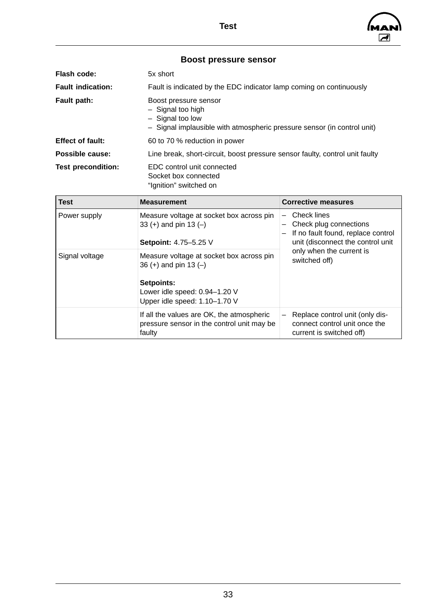

|                | <b>Boost pressure sensor</b> |  |
|----------------|------------------------------|--|
| تغذيت بالمرادة |                              |  |

<span id="page-34-0"></span>

| Flash code:               | 5x short                                                                                                                                    |  |
|---------------------------|---------------------------------------------------------------------------------------------------------------------------------------------|--|
| <b>Fault indication:</b>  | Fault is indicated by the EDC indicator lamp coming on continuously                                                                         |  |
| Fault path:               | Boost pressure sensor<br>$-$ Signal too high<br>- Signal too low<br>- Signal implausible with atmospheric pressure sensor (in control unit) |  |
| <b>Effect of fault:</b>   | 60 to 70 % reduction in power                                                                                                               |  |
| Possible cause:           | Line break, short-circuit, boost pressure sensor faulty, control unit faulty                                                                |  |
| <b>Test precondition:</b> | EDC control unit connected<br>Socket box connected<br>"Ignition" switched on                                                                |  |

| <b>Test</b>    | <b>Measurement</b>                                                                                | <b>Corrective measures</b>                                                                                       |  |
|----------------|---------------------------------------------------------------------------------------------------|------------------------------------------------------------------------------------------------------------------|--|
| Power supply   | Measure voltage at socket box across pin<br>33 (+) and pin 13 (-)<br><b>Setpoint: 4.75–5.25 V</b> | Check lines<br>Check plug connections<br>If no fault found, replace control<br>unit (disconnect the control unit |  |
| Signal voltage | Measure voltage at socket box across pin<br>36 (+) and pin 13 $(-)$                               | only when the current is<br>switched off)                                                                        |  |
|                | Setpoints:<br>Lower idle speed: 0.94-1.20 V<br>Upper idle speed: 1.10-1.70 V                      |                                                                                                                  |  |
|                | If all the values are OK, the atmospheric<br>pressure sensor in the control unit may be<br>faulty | Replace control unit (only dis-<br>connect control unit once the<br>current is switched off)                     |  |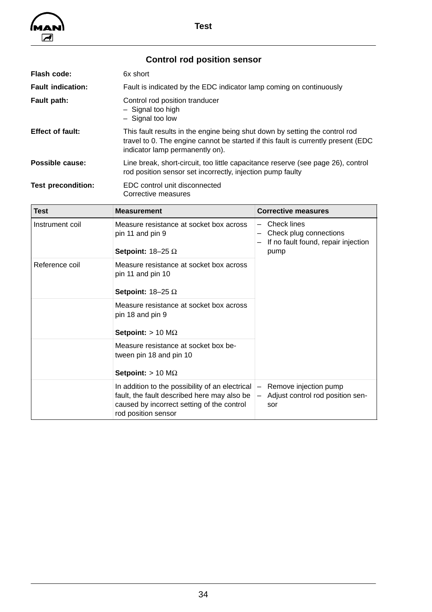<span id="page-35-0"></span>

# **Control rod position sensor**

| Flash code:               | 6x short                                                                                                                                                                                             |  |
|---------------------------|------------------------------------------------------------------------------------------------------------------------------------------------------------------------------------------------------|--|
| <b>Fault indication:</b>  | Fault is indicated by the EDC indicator lamp coming on continuously                                                                                                                                  |  |
| Fault path:               | Control rod position tranducer<br>- Signal too high<br>$-$ Signal too low                                                                                                                            |  |
| <b>Effect of fault:</b>   | This fault results in the engine being shut down by setting the control rod<br>travel to 0. The engine cannot be started if this fault is currently present (EDC)<br>indicator lamp permanently on). |  |
| Possible cause:           | Line break, short-circuit, too little capacitance reserve (see page 26), control<br>rod position sensor set incorrectly, injection pump faulty                                                       |  |
| <b>Test precondition:</b> | EDC control unit disconnected<br>Corrective measures                                                                                                                                                 |  |

| <b>Test</b>     | <b>Measurement</b>                                                                                                                                                  | <b>Corrective measures</b>                                                                   |
|-----------------|---------------------------------------------------------------------------------------------------------------------------------------------------------------------|----------------------------------------------------------------------------------------------|
| Instrument coil | Measure resistance at socket box across<br>pin 11 and pin 9<br>Setpoint: $18-25 \Omega$                                                                             | Check lines<br>Check plug connections<br>If no fault found, repair injection<br>pump         |
|                 |                                                                                                                                                                     |                                                                                              |
| Reference coil  | Measure resistance at socket box across<br>pin 11 and pin 10                                                                                                        |                                                                                              |
|                 | <b>Setpoint:</b> 18-25 $\Omega$                                                                                                                                     |                                                                                              |
|                 | Measure resistance at socket box across<br>pin 18 and pin 9                                                                                                         |                                                                                              |
|                 | <b>Setpoint:</b> > 10 $\text{M}\Omega$                                                                                                                              |                                                                                              |
|                 | Measure resistance at socket box be-<br>tween pin 18 and pin 10                                                                                                     |                                                                                              |
|                 | <b>Setpoint:</b> $> 10 M\Omega$                                                                                                                                     |                                                                                              |
|                 | In addition to the possibility of an electrical<br>fault, the fault described here may also be<br>caused by incorrect setting of the control<br>rod position sensor | Remove injection pump<br>Adjust control rod position sen-<br>$\overline{\phantom{m}}$<br>sor |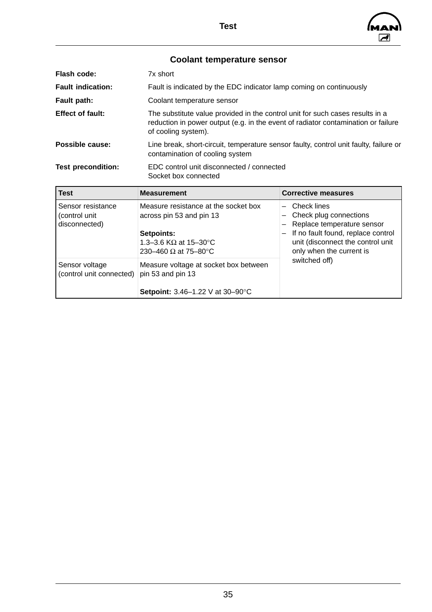

## **Coolant temperature sensor**

<span id="page-36-0"></span>

| Flash code:               | 7x short                                                                                                                                                                                  |  |  |
|---------------------------|-------------------------------------------------------------------------------------------------------------------------------------------------------------------------------------------|--|--|
| <b>Fault indication:</b>  | Fault is indicated by the EDC indicator lamp coming on continuously                                                                                                                       |  |  |
| Fault path:               | Coolant temperature sensor                                                                                                                                                                |  |  |
| <b>Effect of fault:</b>   | The substitute value provided in the control unit for such cases results in a<br>reduction in power output (e.g. in the event of radiator contamination or failure<br>of cooling system). |  |  |
| Possible cause:           | Line break, short-circuit, temperature sensor faulty, control unit faulty, failure or<br>contamination of cooling system                                                                  |  |  |
| <b>Test precondition:</b> | EDC control unit disconnected / connected<br>Socket box connected                                                                                                                         |  |  |

| <b>Test</b>                                         | <b>Measurement</b>                                                                                                                | <b>Corrective measures</b>                                                                                                                                                 |
|-----------------------------------------------------|-----------------------------------------------------------------------------------------------------------------------------------|----------------------------------------------------------------------------------------------------------------------------------------------------------------------------|
| Sensor resistance<br>(control unit<br>disconnected) | Measure resistance at the socket box<br>across pin 53 and pin 13<br>Setpoints:<br>1.3–3.6 KΩ at 15–30 °C<br>230–460 Ω at 75–80 °C | Check lines<br>Check plug connections<br>Replace temperature sensor<br>If no fault found, replace control<br>unit (disconnect the control unit<br>only when the current is |
| Sensor voltage<br>(control unit connected)          | Measure voltage at socket box between<br>pin 53 and pin 13<br><b>Setpoint:</b> $3.46-1.22$ V at $30-90^{\circ}$ C                 | switched off)                                                                                                                                                              |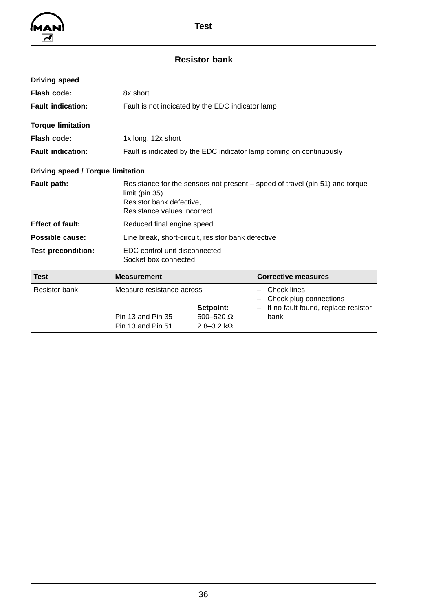<span id="page-37-0"></span>

**Test**

## **Resistor bank**

| 8x short                                                                                                                                                  |  |
|-----------------------------------------------------------------------------------------------------------------------------------------------------------|--|
| Fault is not indicated by the EDC indicator lamp                                                                                                          |  |
|                                                                                                                                                           |  |
| 1x long, 12x short                                                                                                                                        |  |
| Fault is indicated by the EDC indicator lamp coming on continuously                                                                                       |  |
| Driving speed / Torque limitation                                                                                                                         |  |
| Resistance for the sensors not present – speed of travel (pin 51) and torque<br>limit (pin 35)<br>Resistor bank defective,<br>Resistance values incorrect |  |
| Reduced final engine speed                                                                                                                                |  |
| Line break, short-circuit, resistor bank defective                                                                                                        |  |
| EDC control unit disconnected<br>Socket box connected                                                                                                     |  |
|                                                                                                                                                           |  |

| <b>Test</b>          | <b>Measurement</b>                            |                                        | <b>Corrective measures</b>                                                       |
|----------------------|-----------------------------------------------|----------------------------------------|----------------------------------------------------------------------------------|
| <b>Resistor bank</b> | Measure resistance across<br>Setpoint:        |                                        | Check lines<br>- Check plug connections<br>- If no fault found, replace resistor |
|                      | <b>Pin 13 and Pin 35</b><br>Pin 13 and Pin 51 | 500-520 $\Omega$<br>2.8–3.2 k $\Omega$ | bank                                                                             |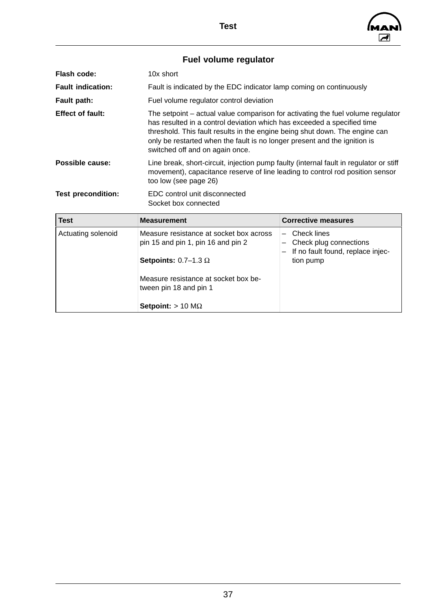

# **Fuel volume regulator**

<span id="page-38-0"></span>

| Flash code:               | 10x short                                                                                                                                                                                                                                                                                                                                                 |
|---------------------------|-----------------------------------------------------------------------------------------------------------------------------------------------------------------------------------------------------------------------------------------------------------------------------------------------------------------------------------------------------------|
| <b>Fault indication:</b>  | Fault is indicated by the EDC indicator lamp coming on continuously                                                                                                                                                                                                                                                                                       |
| <b>Fault path:</b>        | Fuel volume regulator control deviation                                                                                                                                                                                                                                                                                                                   |
| <b>Effect of fault:</b>   | The setpoint – actual value comparison for activating the fuel volume regulator<br>has resulted in a control deviation which has exceeded a specified time<br>threshold. This fault results in the engine being shut down. The engine can<br>only be restarted when the fault is no longer present and the ignition is<br>switched off and on again once. |
| Possible cause:           | Line break, short-circuit, injection pump faulty (internal fault in regulator or stiff<br>movement), capacitance reserve of line leading to control rod position sensor<br>too low (see page 26)                                                                                                                                                          |
| <b>Test precondition:</b> | EDC control unit disconnected<br>Socket box connected                                                                                                                                                                                                                                                                                                     |

| <b>Test</b>        | <b>Measurement</b>                                                            | <b>Corrective measures</b>                                                                             |
|--------------------|-------------------------------------------------------------------------------|--------------------------------------------------------------------------------------------------------|
| Actuating solenoid | Measure resistance at socket box across<br>pin 15 and pin 1, pin 16 and pin 2 | Check lines<br>$\overline{\phantom{0}}$<br>Check plug connections<br>If no fault found, replace injec- |
|                    | <b>Setpoints:</b> $0.7-1.3 \Omega$                                            | tion pump                                                                                              |
|                    | Measure resistance at socket box be-<br>tween pin 18 and pin 1                |                                                                                                        |
|                    | <b>Setpoint:</b> $> 10 M\Omega$                                               |                                                                                                        |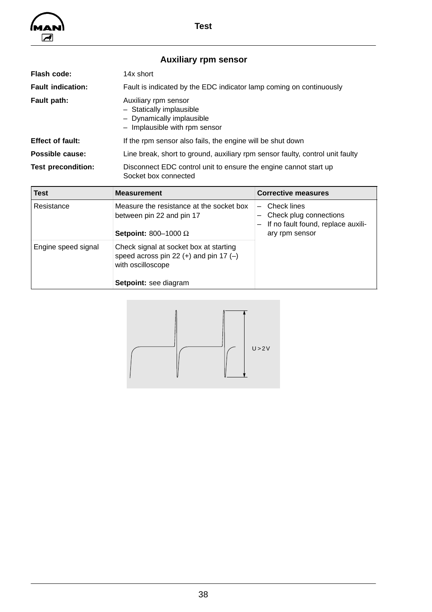<span id="page-39-0"></span>

# **Auxiliary rpm sensor**

| Flash code:               | 14x short                                                                                                      |
|---------------------------|----------------------------------------------------------------------------------------------------------------|
| <b>Fault indication:</b>  | Fault is indicated by the EDC indicator lamp coming on continuously                                            |
| Fault path:               | Auxiliary rpm sensor<br>- Statically implausible<br>- Dynamically implausible<br>- Implausible with rpm sensor |
| <b>Effect of fault:</b>   | If the rpm sensor also fails, the engine will be shut down                                                     |
| Possible cause:           | Line break, short to ground, auxiliary rpm sensor faulty, control unit faulty                                  |
| <b>Test precondition:</b> | Disconnect EDC control unit to ensure the engine cannot start up<br>Socket box connected                       |

| <b>Test</b>         | <b>Measurement</b>                                                                                    | <b>Corrective measures</b>                                                       |
|---------------------|-------------------------------------------------------------------------------------------------------|----------------------------------------------------------------------------------|
| Resistance          | Measure the resistance at the socket box<br>between pin 22 and pin 17                                 | Check lines<br>Check plug connections<br>If no fault found, replace auxili-<br>— |
|                     | Setpoint: 800-1000 $\Omega$                                                                           | ary rpm sensor                                                                   |
| Engine speed signal | Check signal at socket box at starting<br>speed across pin 22 (+) and pin 17 (-)<br>with oscilloscope |                                                                                  |
|                     | Setpoint: see diagram                                                                                 |                                                                                  |

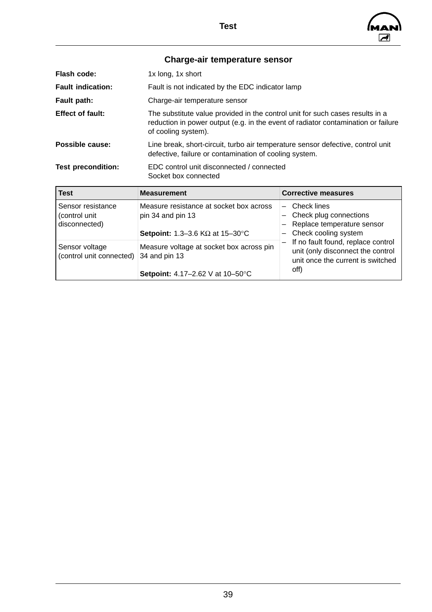



# **Charge-air temperature sensor**

<span id="page-40-0"></span>

| Flash code:               | 1x long, 1x short                                                                                                                                                                         |
|---------------------------|-------------------------------------------------------------------------------------------------------------------------------------------------------------------------------------------|
| <b>Fault indication:</b>  | Fault is not indicated by the EDC indicator lamp                                                                                                                                          |
| Fault path:               | Charge-air temperature sensor                                                                                                                                                             |
| <b>Effect of fault:</b>   | The substitute value provided in the control unit for such cases results in a<br>reduction in power output (e.g. in the event of radiator contamination or failure<br>of cooling system). |
| Possible cause:           | Line break, short-circuit, turbo air temperature sensor defective, control unit<br>defective, failure or contamination of cooling system.                                                 |
| <b>Test precondition:</b> | EDC control unit disconnected / connected<br>Socket box connected                                                                                                                         |

| <b>Test</b>                                          | <b>Measurement</b>                                                                                      | <b>Corrective measures</b>                                                                                   |
|------------------------------------------------------|---------------------------------------------------------------------------------------------------------|--------------------------------------------------------------------------------------------------------------|
| Sensor resistance<br>(control unit)<br>disconnected) | Measure resistance at socket box across<br>pin 34 and pin 13<br>Setpoint: 1.3-3.6 K $\Omega$ at 15-30°C | Check lines<br>Check plug connections<br>- Replace temperature sensor<br>Check cooling system                |
| Sensor voltage<br>(control unit connected)           | Measure voltage at socket box across pin<br>34 and pin 13                                               | If no fault found, replace control<br>unit (only disconnect the control<br>unit once the current is switched |
|                                                      | Setpoint: 4.17-2.62 V at 10-50°C                                                                        | off)                                                                                                         |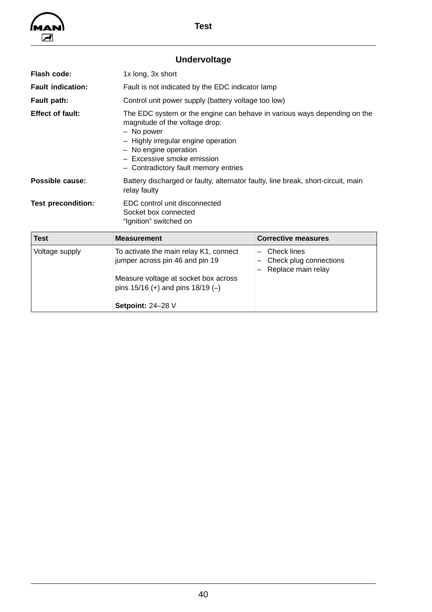<span id="page-41-0"></span>

**Test**

# **Undervoltage**

| Flash code:               | 1x long, 3x short                                                                                                                                                                  |                                                                          |
|---------------------------|------------------------------------------------------------------------------------------------------------------------------------------------------------------------------------|--------------------------------------------------------------------------|
| <b>Fault indication:</b>  | Fault is not indicated by the EDC indicator lamp                                                                                                                                   |                                                                          |
| <b>Fault path:</b>        | Control unit power supply (battery voltage too low)                                                                                                                                |                                                                          |
| <b>Effect of fault:</b>   | magnitude of the voltage drop:<br>- No power<br>- Highly irregular engine operation<br>- No engine operation<br>- Excessive smoke emission<br>- Contradictory fault memory entries | The EDC system or the engine can behave in various ways depending on the |
| Possible cause:           | Battery discharged or faulty, alternator faulty, line break, short-circuit, main<br>relay faulty                                                                                   |                                                                          |
| <b>Test precondition:</b> | EDC control unit disconnected<br>Socket box connected<br>"Ignition" switched on                                                                                                    |                                                                          |
| <b>Test</b>               | <b>Measurement</b>                                                                                                                                                                 | <b>Corrective measures</b>                                               |
| Voltage supply            | To activate the main relay K1, connect<br>jumper across pin 46 and pin 19<br>Measure voltage at socket box across<br>pins $15/16$ (+) and pins $18/19$ (-)                         | Check lines<br>Check plug connections<br>Replace main relay<br>—         |
|                           | <b>Setpoint: 24-28 V</b>                                                                                                                                                           |                                                                          |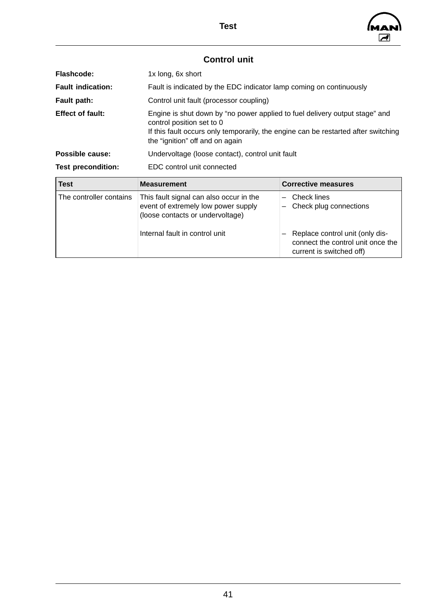

– Replace control unit (only disconnect the control unit once the

current is switched off)

<span id="page-42-0"></span>

| Flashcode:                | 1x long, 6x short                                                                                                                                                                                                                 |                                                                     |  |
|---------------------------|-----------------------------------------------------------------------------------------------------------------------------------------------------------------------------------------------------------------------------------|---------------------------------------------------------------------|--|
| <b>Fault indication:</b>  |                                                                                                                                                                                                                                   | Fault is indicated by the EDC indicator lamp coming on continuously |  |
| Fault path:               | Control unit fault (processor coupling)                                                                                                                                                                                           |                                                                     |  |
| <b>Effect of fault:</b>   | Engine is shut down by "no power applied to fuel delivery output stage" and<br>control position set to 0<br>If this fault occurs only temporarily, the engine can be restarted after switching<br>the "ignition" off and on again |                                                                     |  |
| Possible cause:           | Undervoltage (loose contact), control unit fault                                                                                                                                                                                  |                                                                     |  |
| <b>Test precondition:</b> | EDC control unit connected                                                                                                                                                                                                        |                                                                     |  |
| <b>Test</b>               | <b>Measurement</b>                                                                                                                                                                                                                | <b>Corrective measures</b>                                          |  |
| The controller contains   | This fault signal can also occur in the<br>event of extremely low power supply<br>(loose contacts or undervoltage)                                                                                                                | Check lines<br>Check plug connections                               |  |

Internal fault in control unit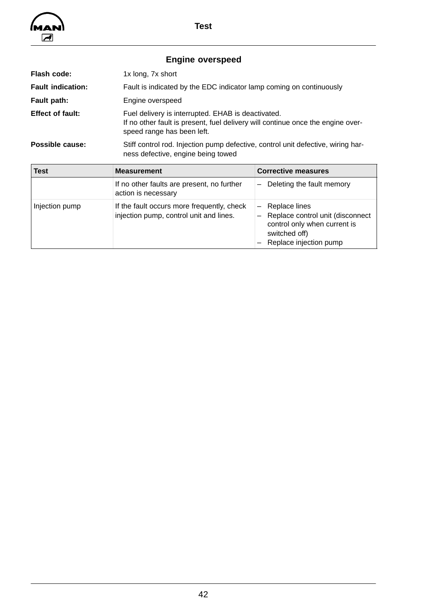<span id="page-43-0"></span>

# **Engine overspeed**

| Flash code:              | 1x long, 7x short                                                                                                                                                   |
|--------------------------|---------------------------------------------------------------------------------------------------------------------------------------------------------------------|
| <b>Fault indication:</b> | Fault is indicated by the EDC indicator lamp coming on continuously                                                                                                 |
| Fault path:              | Engine overspeed                                                                                                                                                    |
| <b>Effect of fault:</b>  | Fuel delivery is interrupted. EHAB is deactivated.<br>If no other fault is present, fuel delivery will continue once the engine over-<br>speed range has been left. |
| Possible cause:          | Stiff control rod. Injection pump defective, control unit defective, wiring har-<br>ness defective, engine being towed                                              |

| Test           | <b>Measurement</b>                                                                    | <b>Corrective measures</b>                                                                                                   |
|----------------|---------------------------------------------------------------------------------------|------------------------------------------------------------------------------------------------------------------------------|
|                | If no other faults are present, no further<br>action is necessary                     | Deleting the fault memory<br>—                                                                                               |
| Injection pump | If the fault occurs more frequently, check<br>injection pump, control unit and lines. | Replace lines<br>Replace control unit (disconnect<br>control only when current is<br>switched off)<br>Replace injection pump |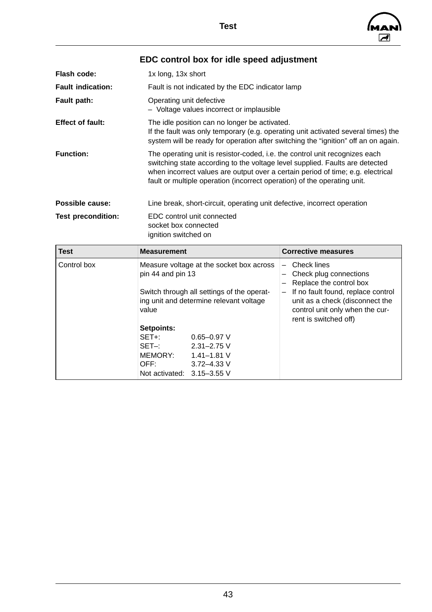

# **EDC control box for idle speed adjustment**

<span id="page-44-0"></span>

| Flash code:               | 1x long, 13x short                                                                                                                                                                                                                                                                                                         |
|---------------------------|----------------------------------------------------------------------------------------------------------------------------------------------------------------------------------------------------------------------------------------------------------------------------------------------------------------------------|
| <b>Fault indication:</b>  | Fault is not indicated by the EDC indicator lamp                                                                                                                                                                                                                                                                           |
| Fault path:               | Operating unit defective<br>- Voltage values incorrect or implausible                                                                                                                                                                                                                                                      |
| <b>Effect of fault:</b>   | The idle position can no longer be activated.<br>If the fault was only temporary (e.g. operating unit activated several times) the<br>system will be ready for operation after switching the "ignition" off an on again.                                                                                                   |
| <b>Function:</b>          | The operating unit is resistor-coded, i.e. the control unit recognizes each<br>switching state according to the voltage level supplied. Faults are detected<br>when incorrect values are output over a certain period of time; e.g. electrical<br>fault or multiple operation (incorrect operation) of the operating unit. |
| Possible cause:           | Line break, short-circuit, operating unit defective, incorrect operation                                                                                                                                                                                                                                                   |
| <b>Test precondition:</b> | EDC control unit connected<br>socket box connected<br>ignition switched on                                                                                                                                                                                                                                                 |

| <b>Test</b> | <b>Measurement</b>           |                                                                                        | <b>Corrective measures</b>                                                                             |
|-------------|------------------------------|----------------------------------------------------------------------------------------|--------------------------------------------------------------------------------------------------------|
| Control box | pin 44 and pin 13            | Measure voltage at the socket box across<br>Switch through all settings of the operat- | Check lines<br>Check plug connections<br>Replace the control box<br>If no fault found, replace control |
|             | value                        | ing unit and determine relevant voltage                                                | unit as a check (disconnect the<br>control unit only when the cur-<br>rent is switched off)            |
|             | Setpoints:                   |                                                                                        |                                                                                                        |
|             | $SET +:$                     | $0.65 - 0.97$ V                                                                        |                                                                                                        |
|             | $SET -$                      | $2.31 - 2.75$ V                                                                        |                                                                                                        |
|             | MEMORY:                      | $1.41 - 1.81$ V                                                                        |                                                                                                        |
|             | OFF:                         | $3.72 - 4.33$ V                                                                        |                                                                                                        |
|             | Not activated: $3.15-3.55$ V |                                                                                        |                                                                                                        |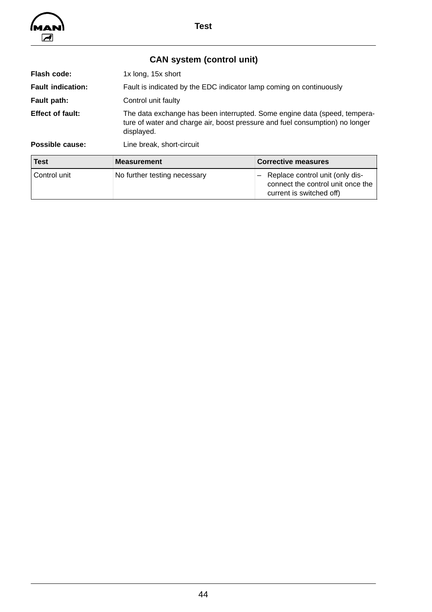<span id="page-45-0"></span>

# **CAN system (control unit)**

| Possible cause:          | Line break, short-circuit |                                                                                                                                                           |  |
|--------------------------|---------------------------|-----------------------------------------------------------------------------------------------------------------------------------------------------------|--|
| <b>Effect of fault:</b>  | displayed.                | The data exchange has been interrupted. Some engine data (speed, tempera-<br>ture of water and charge air, boost pressure and fuel consumption) no longer |  |
| Fault path:              | Control unit faulty       |                                                                                                                                                           |  |
| <b>Fault indication:</b> |                           | Fault is indicated by the EDC indicator lamp coming on continuously                                                                                       |  |
| Flash code:              | 1x long, 15x short        |                                                                                                                                                           |  |

| <b>Test</b>    | ∣Measurement                 | <b>Corrective measures</b>                                                                         |
|----------------|------------------------------|----------------------------------------------------------------------------------------------------|
| l Control unit | No further testing necessary | - Replace control unit (only dis-<br>connect the control unit once the<br>current is switched off) |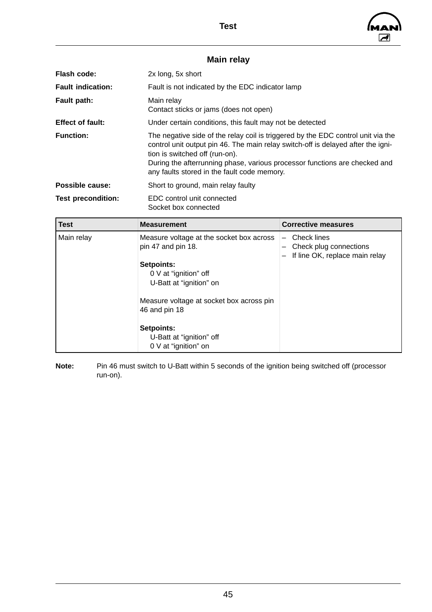

## **Main relay**

<span id="page-46-0"></span>

| Flash code:               | 2x long, 5x short                                                                                                                                                                                                                                                                                                                   |
|---------------------------|-------------------------------------------------------------------------------------------------------------------------------------------------------------------------------------------------------------------------------------------------------------------------------------------------------------------------------------|
| <b>Fault indication:</b>  | Fault is not indicated by the EDC indicator lamp                                                                                                                                                                                                                                                                                    |
| <b>Fault path:</b>        | Main relay<br>Contact sticks or jams (does not open)                                                                                                                                                                                                                                                                                |
| <b>Effect of fault:</b>   | Under certain conditions, this fault may not be detected                                                                                                                                                                                                                                                                            |
| <b>Function:</b>          | The negative side of the relay coil is triggered by the EDC control unit via the<br>control unit output pin 46. The main relay switch-off is delayed after the igni-<br>tion is switched off (run-on).<br>During the afterrunning phase, various processor functions are checked and<br>any faults stored in the fault code memory. |
| <b>Possible cause:</b>    | Short to ground, main relay faulty                                                                                                                                                                                                                                                                                                  |
| <b>Test precondition:</b> | EDC control unit connected<br>Socket box connected                                                                                                                                                                                                                                                                                  |

| <b>Test</b> | <b>Measurement</b>                                             | <b>Corrective measures</b>                                              |
|-------------|----------------------------------------------------------------|-------------------------------------------------------------------------|
| Main relay  | Measure voltage at the socket box across<br>pin 47 and pin 18. | Check lines<br>Check plug connections<br>If line OK, replace main relay |
|             | Setpoints:                                                     |                                                                         |
|             | 0 V at "ignition" off                                          |                                                                         |
|             | U-Batt at "ignition" on                                        |                                                                         |
|             | Measure voltage at socket box across pin<br>46 and pin 18      |                                                                         |
|             | Setpoints:<br>U-Batt at "ignition" off<br>0 V at "ignition" on |                                                                         |

**Note:** Pin 46 must switch to U-Batt within 5 seconds of the ignition being switched off (processor run-on).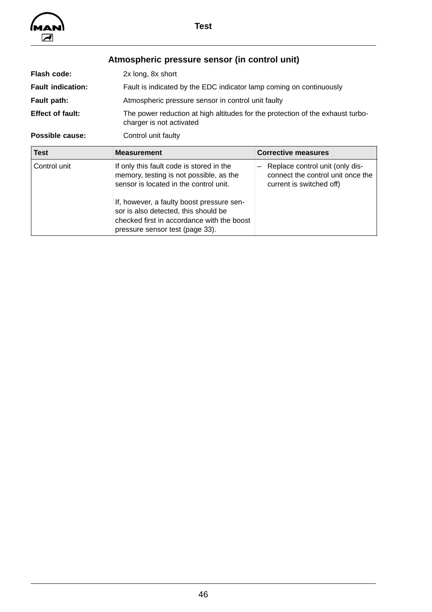<span id="page-47-0"></span>

| Atmospheric pressure sensor (in control unit) |                                                                                                            |
|-----------------------------------------------|------------------------------------------------------------------------------------------------------------|
| Flash code:                                   | 2x long, 8x short                                                                                          |
| <b>Fault indication:</b>                      | Fault is indicated by the EDC indicator lamp coming on continuously                                        |
| Fault path:                                   | Atmospheric pressure sensor in control unit faulty                                                         |
| <b>Effect of fault:</b>                       | The power reduction at high altitudes for the protection of the exhaust turbo-<br>charger is not activated |
| Possible cause:                               | Control unit faulty                                                                                        |

| <b>Test</b>  | <b>Measurement</b>                                                                                                                                                                                                                                                                                  | <b>Corrective measures</b>                                                                       |
|--------------|-----------------------------------------------------------------------------------------------------------------------------------------------------------------------------------------------------------------------------------------------------------------------------------------------------|--------------------------------------------------------------------------------------------------|
| Control unit | If only this fault code is stored in the<br>memory, testing is not possible, as the<br>sensor is located in the control unit.<br>If, however, a faulty boost pressure sen-<br>sor is also detected, this should be<br>checked first in accordance with the boost<br>pressure sensor test (page 33). | Replace control unit (only dis-<br>connect the control unit once the<br>current is switched off) |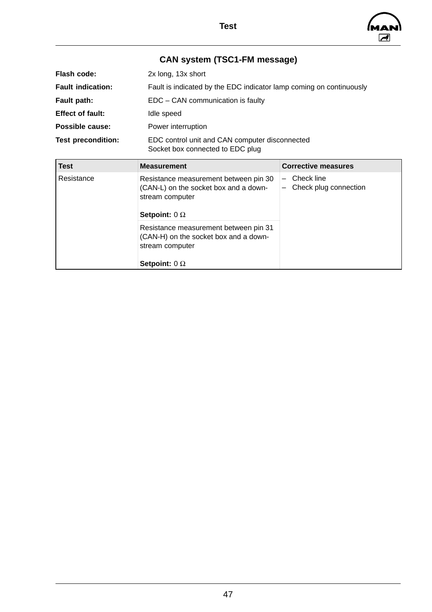

# **CAN system (TSC1-FM message)**

<span id="page-48-0"></span>

| Flash code:               | 2x long, 13x short                                                                 |
|---------------------------|------------------------------------------------------------------------------------|
| <b>Fault indication:</b>  | Fault is indicated by the EDC indicator lamp coming on continuously                |
| Fault path:               | EDC – CAN communication is faulty                                                  |
| <b>Effect of fault:</b>   | Idle speed                                                                         |
| Possible cause:           | Power interruption                                                                 |
| <b>Test precondition:</b> | EDC control unit and CAN computer disconnected<br>Socket box connected to EDC plug |

| Test       | <b>Measurement</b>                                                                                | <b>Corrective measures</b>               |
|------------|---------------------------------------------------------------------------------------------------|------------------------------------------|
| Resistance | Resistance measurement between pin 30<br>(CAN-L) on the socket box and a down-<br>stream computer | Check line<br>—<br>Check plug connection |
|            | Setpoint: $0 \Omega$                                                                              |                                          |
|            | Resistance measurement between pin 31<br>(CAN-H) on the socket box and a down-<br>stream computer |                                          |
|            | Setpoint: $0 \Omega$                                                                              |                                          |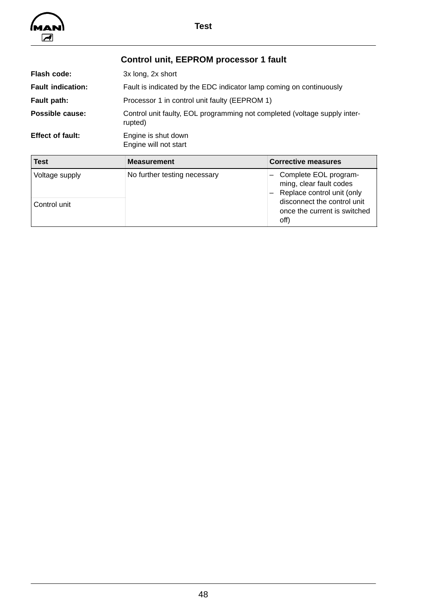<span id="page-49-0"></span>

|                          | Control unit, EEPROM processor 1 fault                                               |
|--------------------------|--------------------------------------------------------------------------------------|
| Flash code:              | 3x long, 2x short                                                                    |
| <b>Fault indication:</b> | Fault is indicated by the EDC indicator lamp coming on continuously                  |
| Fault path:              | Processor 1 in control unit faulty (EEPROM 1)                                        |
| Possible cause:          | Control unit faulty, EOL programming not completed (voltage supply inter-<br>rupted) |
| <b>Effect of fault:</b>  | Engine is shut down<br>Engine will not start                                         |
|                          |                                                                                      |

| <b>Test</b>                      | <b>Measurement</b>           | <b>Corrective measures</b>                                                                                                                      |
|----------------------------------|------------------------------|-------------------------------------------------------------------------------------------------------------------------------------------------|
| Voltage supply<br>l Control unit | No further testing necessary | - Complete EOL program-<br>ming, clear fault codes<br>Replace control unit (only<br>disconnect the control unit<br>once the current is switched |
|                                  |                              | off)                                                                                                                                            |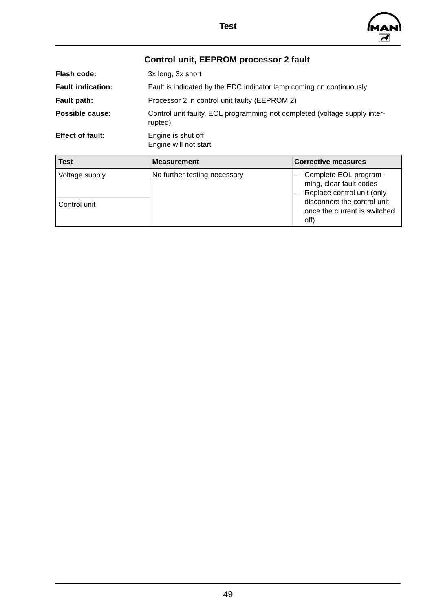

# **Control unit, EEPROM processor 2 fault**

<span id="page-50-0"></span>

| Flash code:              | 3x long, 3x short                                                                    |
|--------------------------|--------------------------------------------------------------------------------------|
| <b>Fault indication:</b> | Fault is indicated by the EDC indicator lamp coming on continuously                  |
| Fault path:              | Processor 2 in control unit faulty (EEPROM 2)                                        |
| Possible cause:          | Control unit faulty, EOL programming not completed (voltage supply inter-<br>rupted) |
| <b>Effect of fault:</b>  | Engine is shut off<br>Engine will not start                                          |

| <b>Test</b>                    | <b>Measurement</b>           | <b>Corrective measures</b>                                                                                                                              |
|--------------------------------|------------------------------|---------------------------------------------------------------------------------------------------------------------------------------------------------|
| Voltage supply<br>Control unit | No further testing necessary | - Complete EOL program-<br>ming, clear fault codes<br>Replace control unit (only<br>disconnect the control unit<br>once the current is switched<br>off) |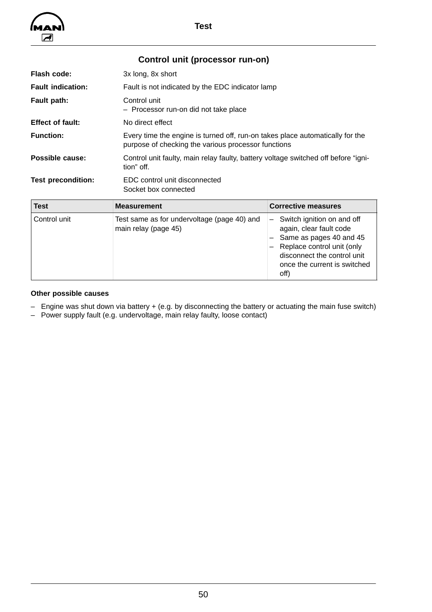<span id="page-51-0"></span>

## **Control unit (processor run-on)**

| Flash code:               | 3x long, 8x short                                                                                                                    |
|---------------------------|--------------------------------------------------------------------------------------------------------------------------------------|
| <b>Fault indication:</b>  | Fault is not indicated by the EDC indicator lamp                                                                                     |
| Fault path:               | Control unit<br>- Processor run-on did not take place                                                                                |
| <b>Effect of fault:</b>   | No direct effect                                                                                                                     |
| <b>Function:</b>          | Every time the engine is turned off, run-on takes place automatically for the<br>purpose of checking the various processor functions |
| Possible cause:           | Control unit faulty, main relay faulty, battery voltage switched off before "igni-<br>tion" off.                                     |
| <b>Test precondition:</b> | EDC control unit disconnected<br>Socket box connected                                                                                |

| <b>Test</b>  | <b>Measurement</b>                                                  | <b>Corrective measures</b>                                                                                                                                                            |
|--------------|---------------------------------------------------------------------|---------------------------------------------------------------------------------------------------------------------------------------------------------------------------------------|
| Control unit | Test same as for undervoltage (page 40) and<br>main relay (page 45) | Switch ignition on and off<br>again, clear fault code<br>Same as pages 40 and 45<br>Replace control unit (only<br>disconnect the control unit<br>once the current is switched<br>off) |

#### **Other possible causes**

- Engine was shut down via battery + (e.g. by disconnecting the battery or actuating the main fuse switch)
- Power supply fault (e.g. undervoltage, main relay faulty, loose contact)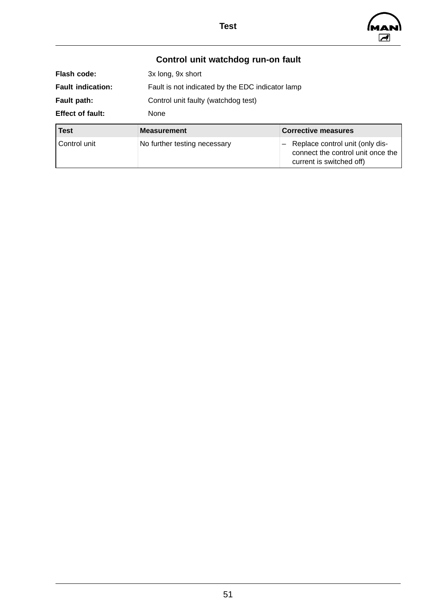

# **Control unit watchdog run-on fault**

<span id="page-52-0"></span>

| Flash code:              | 3x long, 9x short                                |
|--------------------------|--------------------------------------------------|
| <b>Fault indication:</b> | Fault is not indicated by the EDC indicator lamp |
| Fault path:              | Control unit faulty (watchdog test)              |
| <b>Effect of fault:</b>  | None                                             |

| Test         | <b>Measurement</b>           | <b>Corrective measures</b>                                                                         |
|--------------|------------------------------|----------------------------------------------------------------------------------------------------|
| Control unit | No further testing necessary | - Replace control unit (only dis-<br>connect the control unit once the<br>current is switched off) |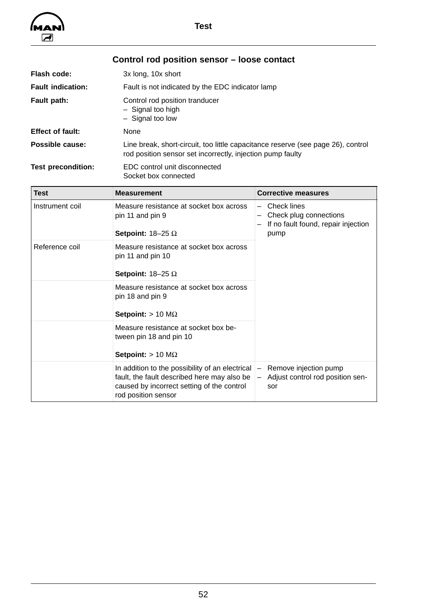<span id="page-53-0"></span>

| Control rod position sensor – loose contact |                                                                                                                                                |
|---------------------------------------------|------------------------------------------------------------------------------------------------------------------------------------------------|
| Flash code:                                 | 3x long, 10x short                                                                                                                             |
| <b>Fault indication:</b>                    | Fault is not indicated by the EDC indicator lamp                                                                                               |
| Fault path:                                 | Control rod position tranducer<br>- Signal too high<br>$-$ Signal too low                                                                      |
| <b>Effect of fault:</b>                     | None                                                                                                                                           |
| Possible cause:                             | Line break, short-circuit, too little capacitance reserve (see page 26), control<br>rod position sensor set incorrectly, injection pump faulty |
| <b>Test precondition:</b>                   | EDC control unit disconnected<br>Socket box connected                                                                                          |

| <b>Test</b>     | <b>Measurement</b>                                                                                                                                                  | <b>Corrective measures</b>                                                                  |
|-----------------|---------------------------------------------------------------------------------------------------------------------------------------------------------------------|---------------------------------------------------------------------------------------------|
| Instrument coil | Measure resistance at socket box across<br>pin 11 and pin 9<br><b>Setpoint:</b> 18-25 $\Omega$                                                                      | <b>Check lines</b><br>Check plug connections<br>If no fault found, repair injection<br>pump |
| Reference coil  | Measure resistance at socket box across<br>pin 11 and pin 10<br><b>Setpoint:</b> $18-25 \Omega$                                                                     |                                                                                             |
|                 | Measure resistance at socket box across<br>pin 18 and pin 9<br><b>Setpoint:</b> $> 10 M\Omega$                                                                      |                                                                                             |
|                 | Measure resistance at socket box be-<br>tween pin 18 and pin 10<br><b>Setpoint:</b> $> 10 M\Omega$                                                                  |                                                                                             |
|                 | In addition to the possibility of an electrical<br>fault, the fault described here may also be<br>caused by incorrect setting of the control<br>rod position sensor | Remove injection pump<br>—<br>Adjust control rod position sen-<br>sor                       |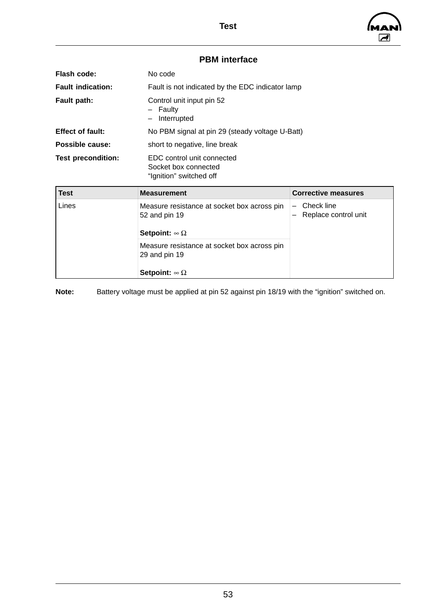

## **PBM interface**

<span id="page-54-0"></span>

| No code                                                                       |
|-------------------------------------------------------------------------------|
| Fault is not indicated by the EDC indicator lamp                              |
| Control unit input pin 52<br>- Faulty<br>- Interrupted                        |
| No PBM signal at pin 29 (steady voltage U-Batt)                               |
| short to negative, line break                                                 |
| EDC control unit connected<br>Socket box connected<br>"Ignition" switched off |
|                                                                               |

| <b>Test</b> | <b>Measurement</b>                                                                        | <b>Corrective measures</b>              |
|-------------|-------------------------------------------------------------------------------------------|-----------------------------------------|
| Lines       | Measure resistance at socket box across pin<br>52 and pin 19<br>Setpoint: $\infty \Omega$ | Check line<br>—<br>Replace control unit |
|             | Measure resistance at socket box across pin<br>29 and pin 19                              |                                         |
|             | Setpoint: $\infty \Omega$                                                                 |                                         |

**Note:** Battery voltage must be applied at pin 52 against pin 18/19 with the "ignition" switched on.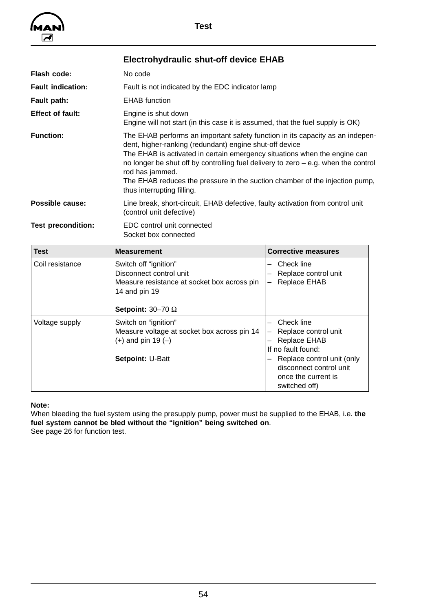<span id="page-55-0"></span>

|                           | <b>Electrohydraulic shut-off device EHAB</b>                                                                                                                                                                                                                                                                                                                                                                                                  |
|---------------------------|-----------------------------------------------------------------------------------------------------------------------------------------------------------------------------------------------------------------------------------------------------------------------------------------------------------------------------------------------------------------------------------------------------------------------------------------------|
| Flash code:               | No code                                                                                                                                                                                                                                                                                                                                                                                                                                       |
| <b>Fault indication:</b>  | Fault is not indicated by the EDC indicator lamp                                                                                                                                                                                                                                                                                                                                                                                              |
| Fault path:               | <b>EHAB</b> function                                                                                                                                                                                                                                                                                                                                                                                                                          |
| <b>Effect of fault:</b>   | Engine is shut down<br>Engine will not start (in this case it is assumed, that the fuel supply is OK)                                                                                                                                                                                                                                                                                                                                         |
| <b>Function:</b>          | The EHAB performs an important safety function in its capacity as an indepen-<br>dent, higher-ranking (redundant) engine shut-off device<br>The EHAB is activated in certain emergency situations when the engine can<br>no longer be shut off by controlling fuel delivery to zero $-$ e.g. when the control<br>rod has jammed.<br>The EHAB reduces the pressure in the suction chamber of the injection pump,<br>thus interrupting filling. |
| Possible cause:           | Line break, short-circuit, EHAB defective, faulty activation from control unit<br>(control unit defective)                                                                                                                                                                                                                                                                                                                                    |
| <b>Test precondition:</b> | EDC control unit connected<br>Socket box connected                                                                                                                                                                                                                                                                                                                                                                                            |

| Test            | <b>Measurement</b>                                                                                                                           | <b>Corrective measures</b>                                                                                                                                                       |
|-----------------|----------------------------------------------------------------------------------------------------------------------------------------------|----------------------------------------------------------------------------------------------------------------------------------------------------------------------------------|
| Coil resistance | Switch off "ignition"<br>Disconnect control unit<br>Measure resistance at socket box across pin<br>14 and pin 19<br>Setpoint: $30-70 \Omega$ | Check line<br>Replace control unit<br><b>Replace EHAB</b>                                                                                                                        |
| Voltage supply  | Switch on "ignition"<br>Measure voltage at socket box across pin 14<br>$(+)$ and pin 19 $(-)$<br>Setpoint: U-Batt                            | Check line<br>Replace control unit<br><b>Replace EHAB</b><br>If no fault found:<br>Replace control unit (only<br>disconnect control unit<br>once the current is<br>switched off) |

#### **Note:**

When bleeding the fuel system using the presupply pump, power must be supplied to the EHAB, i.e. **the fuel system cannot be bled without the "ignition" being switched on**. See pag[e 26 f](#page-27-0)or function test.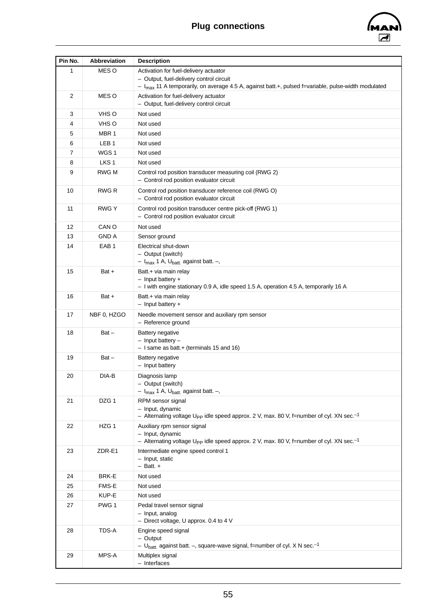

<span id="page-56-0"></span>

| Pin No.  | <b>Abbreviation</b>       | <b>Description</b>                                                                                                                                           |
|----------|---------------------------|--------------------------------------------------------------------------------------------------------------------------------------------------------------|
| 1        | MES O                     | Activation for fuel-delivery actuator                                                                                                                        |
|          |                           | - Output, fuel-delivery control circuit<br>$-$ I <sub>max</sub> 11 A temporarily, on average 4.5 A, against batt.+, pulsed f=variable, pulse-width modulated |
| 2        | MES O                     | Activation for fuel-delivery actuator                                                                                                                        |
|          |                           | - Output, fuel-delivery control circuit                                                                                                                      |
| 3        | VHS O                     | Not used                                                                                                                                                     |
| 4        | VHS O                     | Not used                                                                                                                                                     |
| 5        | MBR <sub>1</sub>          | Not used                                                                                                                                                     |
| 6        | LEB <sub>1</sub>          | Not used                                                                                                                                                     |
| 7        | WGS <sub>1</sub>          | Not used                                                                                                                                                     |
| 8        | LKS <sub>1</sub>          | Not used                                                                                                                                                     |
| 9        | <b>RWG M</b>              | Control rod position transducer measuring coil (RWG 2)<br>- Control rod position evaluator circuit                                                           |
| 10       | <b>RWG R</b>              | Control rod position transducer reference coil (RWG O)<br>- Control rod position evaluator circuit                                                           |
| 11       | <b>RWG Y</b>              | Control rod position transducer centre pick-off (RWG 1)<br>- Control rod position evaluator circuit                                                          |
| 12       | CAN O                     | Not used                                                                                                                                                     |
| 13       | <b>GND A</b>              | Sensor ground                                                                                                                                                |
| 14       | EAB <sub>1</sub>          | Electrical shut-down                                                                                                                                         |
|          |                           | - Output (switch)                                                                                                                                            |
| 15       | Bat +                     | $- I_{\text{max}}$ 1 A, U <sub>batt.</sub> against batt. $-$ ,<br>Batt.+ via main relay                                                                      |
|          |                           | $-$ Input battery $+$                                                                                                                                        |
|          |                           | - I with engine stationary 0.9 A, idle speed 1.5 A, operation 4.5 A, temporarily 16 A                                                                        |
| 16       | Bat +                     | Batt.+ via main relay<br>$-$ Input battery $+$                                                                                                               |
| 17       | NBF 0, HZGO               | Needle movement sensor and auxiliary rpm sensor<br>- Reference ground                                                                                        |
| 18       | $Bat -$                   | <b>Battery negative</b>                                                                                                                                      |
|          |                           | $-$ Input battery $-$<br>- I same as batt.+ (terminals 15 and 16)                                                                                            |
| 19       | $Bat -$                   | <b>Battery negative</b>                                                                                                                                      |
|          |                           | - Input battery                                                                                                                                              |
| 20       | DIA-B                     | Diagnosis lamp                                                                                                                                               |
|          |                           | - Output (switch)                                                                                                                                            |
| 21       | DZG 1                     | $- I_{\text{max}}$ 1 A, U <sub>batt.</sub> against batt. $-$ ,<br>RPM sensor signal                                                                          |
|          |                           | - Input, dynamic                                                                                                                                             |
|          |                           | - Alternating voltage U <sub>PP</sub> idle speed approx. 2 V, max. 80 V, f=number of cyl. XN sec. <sup>-1</sup>                                              |
| 22       | HZG <sub>1</sub>          | Auxiliary rpm sensor signal                                                                                                                                  |
|          |                           | - Input, dynamic<br>- Alternating voltage U <sub>PP</sub> idle speed approx. 2 V, max. 80 V, f=number of cyl. XN sec. <sup>-1</sup>                          |
| 23       | ZDR-E1                    | Intermediate engine speed control 1                                                                                                                          |
|          |                           | - Input, static                                                                                                                                              |
|          |                           | $-$ Batt. $+$                                                                                                                                                |
| 24       | BRK-E                     | Not used                                                                                                                                                     |
| 25       | FMS-E                     | Not used                                                                                                                                                     |
| 26<br>27 | KUP-E<br>PWG <sub>1</sub> | Not used<br>Pedal travel sensor signal                                                                                                                       |
|          |                           | - Input, analog                                                                                                                                              |
|          |                           | - Direct voltage, U approx. 0.4 to 4 $V$                                                                                                                     |
| 28       | TDS-A                     | Engine speed signal                                                                                                                                          |
|          |                           | - Output<br>- U <sub>batt.</sub> against batt. -, square-wave signal, f=number of cyl. X N sec. <sup>-1</sup>                                                |
| 29       | MPS-A                     | Multiplex signal                                                                                                                                             |
|          |                           | - Interfaces                                                                                                                                                 |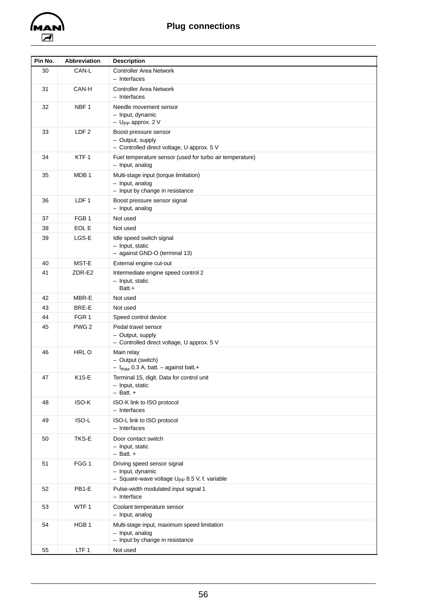

| Pin No. | <b>Abbreviation</b> | <b>Description</b>                                                                                          |
|---------|---------------------|-------------------------------------------------------------------------------------------------------------|
| 30      | CAN-L               | <b>Controller Area Network</b><br>- Interfaces                                                              |
| 31      | CAN-H               | <b>Controller Area Network</b><br>$-$ Interfaces                                                            |
| 32      | NBF <sub>1</sub>    | Needle movement sensor<br>- Input, dynamic<br>$-$ U <sub>PP</sub> approx. 2 V                               |
| 33      | LDF <sub>2</sub>    | Boost pressure sensor<br>- Output, supply<br>- Controlled direct voltage, U approx. 5 V                     |
| 34      | KTF1                | Fuel temperature sensor (used for turbo air temperature)<br>- Input, analog                                 |
| 35      | MDB <sub>1</sub>    | Multi-stage input (torque limitation)<br>- Input, analog<br>- Input by change in resistance                 |
| 36      | LDF <sub>1</sub>    | Boost pressure sensor signal<br>- Input, analog                                                             |
| 37      | FGB <sub>1</sub>    | Not used                                                                                                    |
| 38      | EOL E               | Not used                                                                                                    |
| 39      | LGS-E               | Idle speed switch signal<br>- Input, static<br>- against GND-O (terminal 13)                                |
| 40      | MST-E               | External engine cut-out                                                                                     |
| 41      | ZDR-E2              | Intermediate engine speed control 2<br>- Input, static<br>Batt.+                                            |
| 42      | MBR-E               | Not used                                                                                                    |
| 43      | BRE-E               | Not used                                                                                                    |
| 44      | FGR <sub>1</sub>    | Speed control device                                                                                        |
| 45      | PWG <sub>2</sub>    | Pedal travel sensor<br>- Output, supply<br>- Controlled direct voltage, U approx. 5 V                       |
| 46      | HRL O               | Main relay<br>- Output (switch)<br>$- I_{\text{max}}$ 0.3 A, batt. – against batt.+                         |
| 47      | K15-E               | Terminal 15, digit. Data for control unit<br>- Input, static<br>$-$ Batt. $+$                               |
| 48      | ISO-K               | ISO-K link to ISO protocol<br>- Interfaces                                                                  |
| 49      | ISO-L               | ISO-L link to ISO protocol<br>- Interfaces                                                                  |
| 50      | TKS-E               | Door contact switch<br>- Input, static<br>$-$ Batt. $+$                                                     |
| 51      | FGG <sub>1</sub>    | Driving speed sensor signal<br>- Input, dynamic<br>- Square-wave voltage U <sub>PP</sub> 8.5 V, f. variable |
| 52      | PB1-E               | Pulse-width modulated input signal 1<br>$-$ Interface                                                       |
| 53      | WTF1                | Coolant temperature sensor<br>- Input, analog                                                               |
| 54      | HGB <sub>1</sub>    | Multi-stage input, maximum speed limitation<br>- Input, analog<br>- Input by change in resistance           |
| 55      | LTF <sub>1</sub>    | Not used                                                                                                    |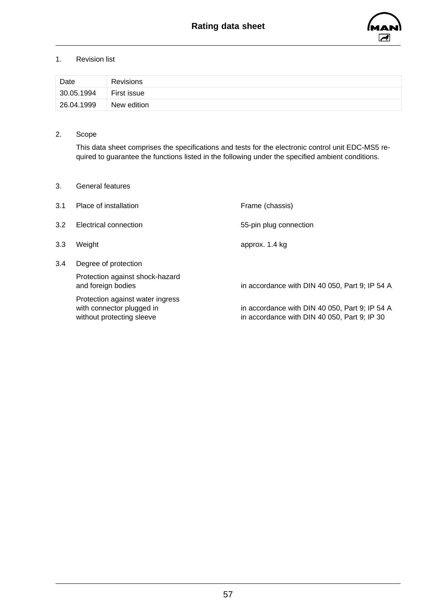

#### <span id="page-58-0"></span>1. Revision list

| Date       | <b>Revisions</b> |
|------------|------------------|
| 30.05.1994 | First issue      |
| 26.04.1999 | New edition      |

### 2. Scope

This data sheet comprises the specifications and tests for the electronic control unit EDC-MS5 required to guarantee the functions listed in the following under the specified ambient conditions.

#### 3. General features

| 3.1 | Place of installation                                                                      | Frame (chassis)                                                                                |
|-----|--------------------------------------------------------------------------------------------|------------------------------------------------------------------------------------------------|
| 3.2 | Electrical connection                                                                      | 55-pin plug connection                                                                         |
| 3.3 | Weight                                                                                     | approx. 1.4 kg                                                                                 |
| 3.4 | Degree of protection                                                                       |                                                                                                |
|     | Protection against shock-hazard<br>and foreign bodies                                      | in accordance with DIN 40 050, Part 9; IP 54 A                                                 |
|     | Protection against water ingress<br>with connector plugged in<br>without protecting sleeve | in accordance with DIN 40 050, Part 9; IP 54 A<br>in accordance with DIN 40 050, Part 9; IP 30 |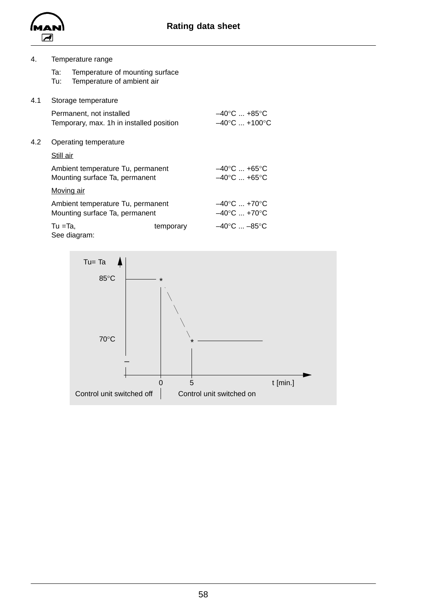<span id="page-59-0"></span>

## 4. Temperature range

|     | Та:<br>Tu: | Temperature of mounting surface<br>Temperature of ambient air        |           |                                                                      |
|-----|------------|----------------------------------------------------------------------|-----------|----------------------------------------------------------------------|
| 4.1 |            | Storage temperature                                                  |           |                                                                      |
|     |            | Permanent, not installed<br>Temporary, max. 1h in installed position |           | $-40^{\circ}$ C $+85^{\circ}$ C<br>$-40^{\circ}$ C $+100^{\circ}$ C  |
| 4.2 |            | Operating temperature                                                |           |                                                                      |
|     | Still air  |                                                                      |           |                                                                      |
|     |            | Ambient temperature Tu, permanent<br>Mounting surface Ta, permanent  |           | $-40^{\circ}$ C  +65 $^{\circ}$ C<br>$-40^{\circ}$ C $+65^{\circ}$ C |
|     |            | <u>Moving air</u>                                                    |           |                                                                      |
|     |            | Ambient temperature Tu, permanent<br>Mounting surface Ta, permanent  |           | $-40^{\circ}$ C  +70 $^{\circ}$ C<br>$-40^{\circ}$ C $+70^{\circ}$ C |
|     | Tu =Ta,    | See diagram:                                                         | temporary | $-40^{\circ}$ C $-85^{\circ}$ C                                      |

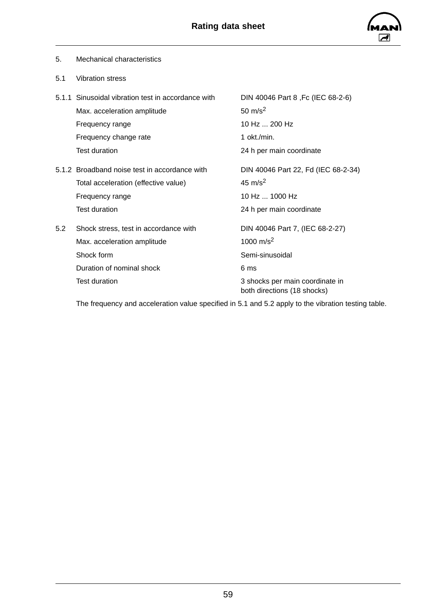

<span id="page-60-0"></span>

| 5. | Mechanical characteristics |
|----|----------------------------|
|    |                            |

5.1 Vibration stress

|     | 5.1.1 Sinusoidal vibration test in accordance with | DIN 40046 Part 8, Fc (IEC 68-2-6)                              |
|-----|----------------------------------------------------|----------------------------------------------------------------|
|     | Max. acceleration amplitude                        | 50 m/s <sup>2</sup>                                            |
|     | Frequency range                                    | 10 Hz  200 Hz                                                  |
|     | Frequency change rate                              | 1 okt./min.                                                    |
|     | <b>Test duration</b>                               | 24 h per main coordinate                                       |
|     | 5.1.2 Broadband noise test in accordance with      | DIN 40046 Part 22, Fd (IEC 68-2-34)                            |
|     | Total acceleration (effective value)               | 45 $m/s^2$                                                     |
|     | Frequency range                                    | 10 Hz  1000 Hz                                                 |
|     | <b>Test duration</b>                               | 24 h per main coordinate                                       |
| 5.2 | Shock stress, test in accordance with              | DIN 40046 Part 7, (IEC 68-2-27)                                |
|     | Max. acceleration amplitude                        | 1000 $m/s^2$                                                   |
|     | Shock form                                         | Semi-sinusoidal                                                |
|     | Duration of nominal shock                          | 6 ms                                                           |
|     | <b>Test duration</b>                               | 3 shocks per main coordinate in<br>both directions (18 shocks) |

The frequency and acceleration value specified in 5.1 and 5.2 apply to the vibration testing table.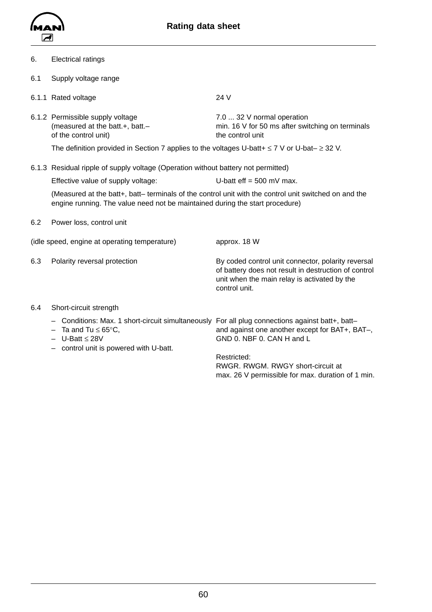<span id="page-61-0"></span>

- 6. Electrical ratings
- 6.1 Supply voltage range
- 6.1.1 Rated voltage 24 V
	-
- 6.1.2 Permissible supply voltage 7.0 ... 32 V normal operation (measured at the batt. $+$ , batt. $-$  min. 16 V for 50 ms after switching on terminals of the control unit) the control unit
	- The definition provided in Section 7 applies to the voltages U-batt+  $\leq 7$  V or U-bat–  $\geq 32$  V.
- 6.1.3 Residual ripple of supply voltage (Operation without battery not permitted)

(Measured at the batt+, batt– terminals of the control unit with the control unit switched on and the engine running. The value need not be maintained during the start procedure)

control unit.

6.2 Power loss, control unit

(idle speed, engine at operating temperature) approx. 18 W

- 6.3 Polarity reversal protection By coded control unit connector, polarity reversal
- 6.4 Short-circuit strength
	- Conditions: Max. 1 short-circuit simultaneously For all plug connections against batt+, batt–
	-
	-
	- control unit is powered with U-batt.

– Ta and Tu ≤ 65°C, and against one another except for BAT+, BAT–, – U-Batt ≤ 28V GND 0. NBF 0. CAN H and L

of battery does not result in destruction of control unit when the main relay is activated by the

Restricted: RWGR. RWGM. RWGY short-circuit at max. 26 V permissible for max. duration of 1 min.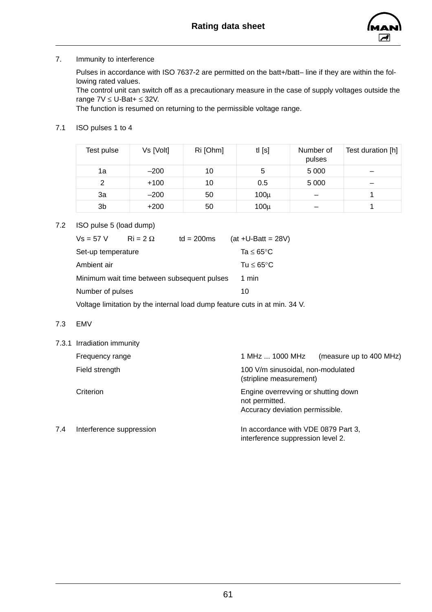

#### <span id="page-62-0"></span>7. Immunity to interference

Pulses in accordance with ISO 7637-2 are permitted on the batt+/batt- line if they are within the following rated values.

The control unit can switch off as a precautionary measure in the case of supply voltages outside the range  $7V \leq U$ -Bat+  $\leq 32V$ .

The function is resumed on returning to the permissible voltage range.

## 7.1 ISO pulses 1 to 4

| Test pulse | Vs [Volt] | Ri [Ohm] | $tl$ [s] | Number of<br>pulses | Test duration [h] |
|------------|-----------|----------|----------|---------------------|-------------------|
| 1a         | $-200$    | 10       | 5        | 5 0 0 0             |                   |
| 2          | $+100$    | 10       | 0.5      | 5 0 0 0             |                   |
| За         | $-200$    | 50       | $100\mu$ |                     |                   |
| 3b         | $+200$    | 50       | $100\mu$ |                     |                   |

7.2 ISO pulse 5 (load dump)

| $Vs = 57 V$        | $\text{Ri} = 2 \Omega$ | td = $200ms$                                | $(at + U-Batt = 28V)$                                                      |  |
|--------------------|------------------------|---------------------------------------------|----------------------------------------------------------------------------|--|
| Set-up temperature |                        |                                             | Ta $\leq 65^{\circ}$ C                                                     |  |
| Ambient air        |                        |                                             | Tu $\leq 65^{\circ}$ C                                                     |  |
|                    |                        | Minimum wait time between subsequent pulses | 1 min                                                                      |  |
| Number of pulses   |                        |                                             | 10                                                                         |  |
|                    |                        |                                             | Voltage limitation by the internal load dump feature cuts in at min. 34 V. |  |

#### 7.3 EMV

|     | 7.3.1 Irradiation immunity |                                                                                          |
|-----|----------------------------|------------------------------------------------------------------------------------------|
|     | Frequency range            | 1 MHz  1000 MHz<br>(measure up to 400 MHz)                                               |
|     | Field strength             | 100 V/m sinusoidal, non-modulated<br>(stripline measurement)                             |
|     | Criterion                  | Engine overrevving or shutting down<br>not permitted.<br>Accuracy deviation permissible. |
| 7.4 | Interference suppression   | In accordance with VDE 0879 Part 3,<br>interference suppression level 2.                 |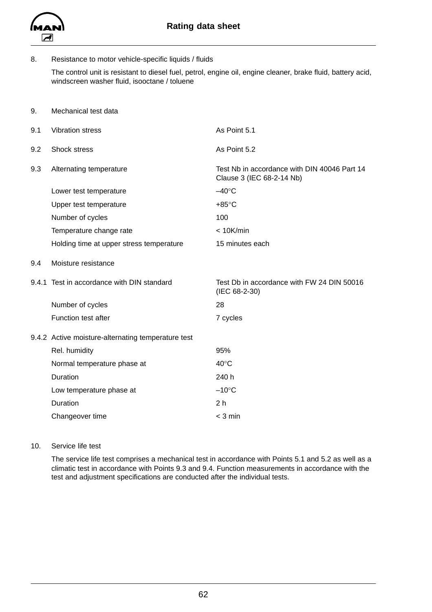<span id="page-63-0"></span>

8. Resistance to motor vehicle-specific liquids / fluids

The control unit is resistant to diesel fuel, petrol, engine oil, engine cleaner, brake fluid, battery acid, windscreen washer fluid, isooctane / toluene

9. Mechanical test data

| 9.1 | <b>Vibration stress</b>                            | As Point 5.1                                                              |
|-----|----------------------------------------------------|---------------------------------------------------------------------------|
| 9.2 | Shock stress                                       | As Point 5.2                                                              |
| 9.3 | Alternating temperature                            | Test Nb in accordance with DIN 40046 Part 14<br>Clause 3 (IEC 68-2-14 Nb) |
|     | Lower test temperature                             | $-40^{\circ}$ C                                                           |
|     | Upper test temperature                             | $+85^{\circ}$ C                                                           |
|     | Number of cycles                                   | 100                                                                       |
|     | Temperature change rate                            | < 10K/min                                                                 |
|     | Holding time at upper stress temperature           | 15 minutes each                                                           |
| 9.4 | Moisture resistance                                |                                                                           |
|     |                                                    |                                                                           |
|     | 9.4.1 Test in accordance with DIN standard         | Test Db in accordance with FW 24 DIN 50016<br>(IEC 68-2-30)               |
|     | Number of cycles                                   | 28                                                                        |
|     | Function test after                                | 7 cycles                                                                  |
|     | 9.4.2 Active moisture-alternating temperature test |                                                                           |
|     | Rel. humidity                                      | 95%                                                                       |
|     | Normal temperature phase at                        | $40^{\circ}$ C                                                            |
|     | Duration                                           | 240 h                                                                     |
|     | Low temperature phase at                           | $-10^{\circ}$ C                                                           |
|     | Duration                                           | 2 <sub>h</sub>                                                            |

10. Service life test

The service life test comprises a mechanical test in accordance with Points 5.1 and 5.2 as well as a climatic test in accordance with Points 9.3 and 9.4. Function measurements in accordance with the test and adjustment specifications are conducted after the individual tests.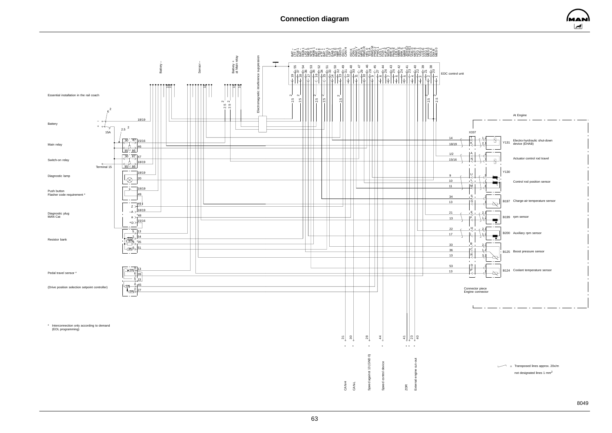## **Connection diagram**



<span id="page-64-0"></span>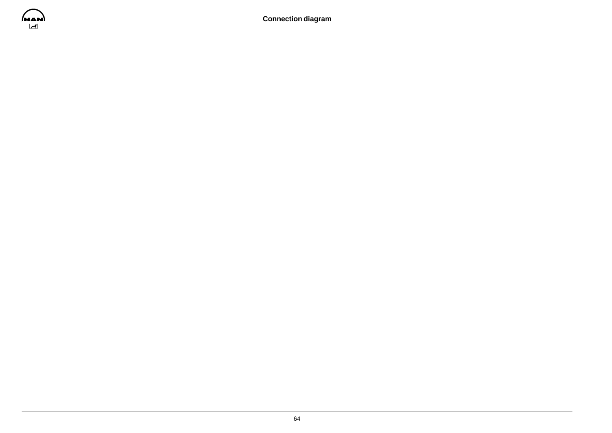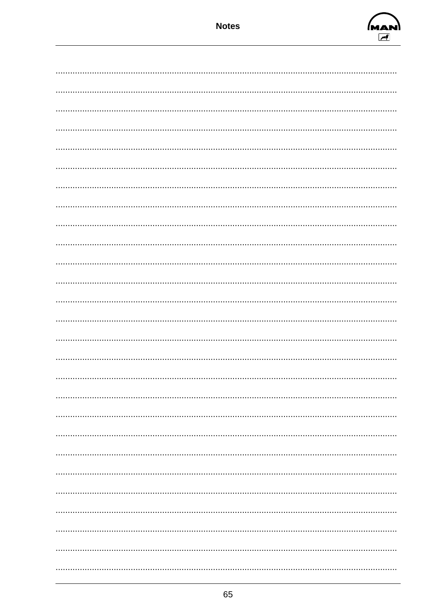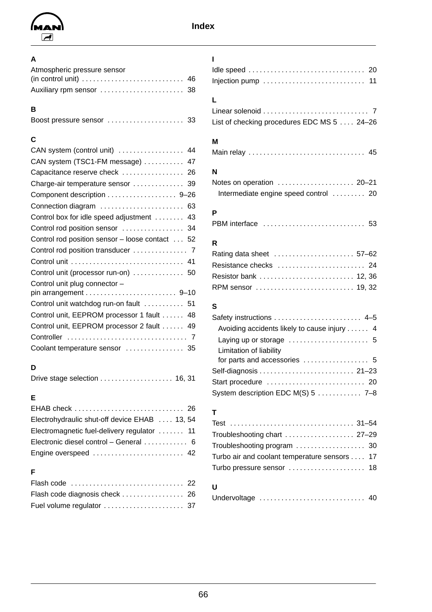<span id="page-67-0"></span>

## **Index**

## **A**

| Atmospheric pressure sensor |  |
|-----------------------------|--|
|                             |  |
|                             |  |

## **B**

## **C**

| CAN system (control unit)  44                  |
|------------------------------------------------|
| CAN system (TSC1-FM message)  47               |
| Capacitance reserve check  26                  |
| Charge-air temperature sensor  39              |
| Component description 9-26                     |
| Connection diagram  63                         |
| Control box for idle speed adjustment  43      |
| Control rod position sensor  34                |
| Control rod position sensor - loose contact 52 |
|                                                |
|                                                |
| Control unit (processor run-on)  50            |
| Control unit plug connector -                  |
|                                                |
| Control unit watchdog run-on fault  51         |
| Control unit, EEPROM processor 1 fault  48     |
| Control unit, EEPROM processor 2 fault 49      |
|                                                |
| Coolant temperature sensor  35                 |

## **D**

# **E**

| Electrohydraulic shut-off device EHAB  13, 54 |  |
|-----------------------------------------------|--|
| Electromagnetic fuel-delivery regulator  11   |  |
| Electronic diesel control - General  6        |  |
| Engine overspeed  42                          |  |
|                                               |  |

## **F**

| п<br>Injection pump  11                                                                                                              |
|--------------------------------------------------------------------------------------------------------------------------------------|
| L<br>List of checking procedures EDC MS 5  24-26                                                                                     |
| M<br>Main relay  45                                                                                                                  |
| N<br>Notes on operation  20-21<br>Intermediate engine speed control  20                                                              |
| P                                                                                                                                    |
| R<br>Rating data sheet  57-62<br>Resistance checks  24<br>RPM sensor  19, 32                                                         |
| S<br>Avoiding accidents likely to cause injury 4<br>Limitation of liability<br>for parts and accessories  5<br>Self-diagnosis  21-23 |
| System description EDC M(S) 5  7-8                                                                                                   |

## **T**

| Troubleshooting chart  27–29                 |  |
|----------------------------------------------|--|
|                                              |  |
| Turbo air and coolant temperature sensors 17 |  |
|                                              |  |
|                                              |  |

## **U**

| Undervoltage  40 |  |
|------------------|--|
|------------------|--|